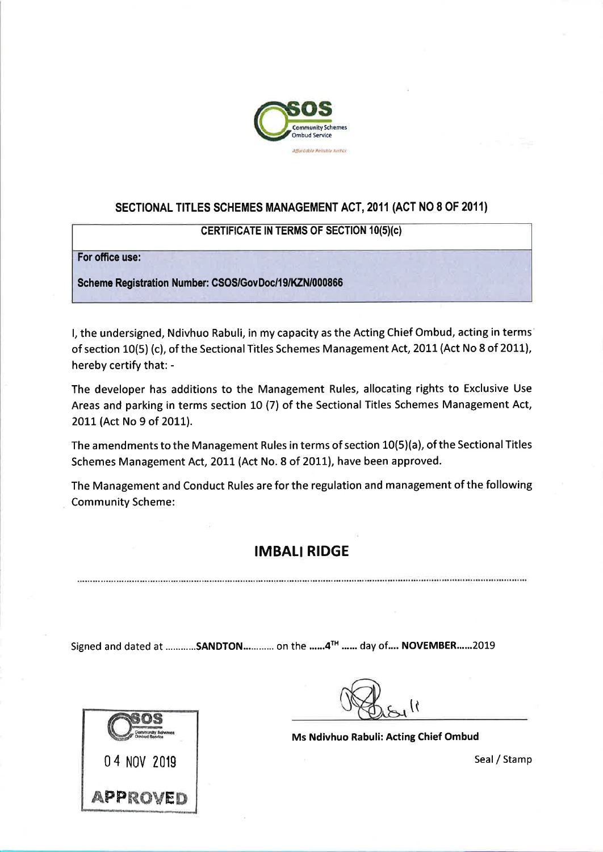

# SECTIONAL TITLES SCHEMES MANAGEMENT ACT, 2011 (ACT NO 8 OF 2011)

#### **CERTIFICATE IN TERMS OF SECTION 10(5)(c)**

For office use:

Scheme Registration Number: CSOS/GovDoc/19/KZN/000866

I, the undersigned, Ndivhuo Rabuli, in my capacity as the Acting Chief Ombud, acting in terms of section 10(5) (c), of the Sectional Titles Schemes Management Act, 2011 (Act No 8 of 2011), hereby certify that: -

The developer has additions to the Management Rules, allocating rights to Exclusive Use Areas and parking in terms section 10 (7) of the Sectional Titles Schemes Management Act, 2011 (Act No 9 of 2011).

The amendments to the Management Rules in terms of section 10(5)(a), of the Sectional Titles Schemes Management Act, 2011 (Act No. 8 of 2011), have been approved.

The Management and Conduct Rules are for the regulation and management of the following **Community Scheme:** 

# **IMBALI RIDGE**

Signed and dated at ............SANDTON............. on the ......4TH ...... day of.... NOVEMBER.......2019



Ms Ndivhuo Rabuli: Acting Chief Ombud

Seal / Stamp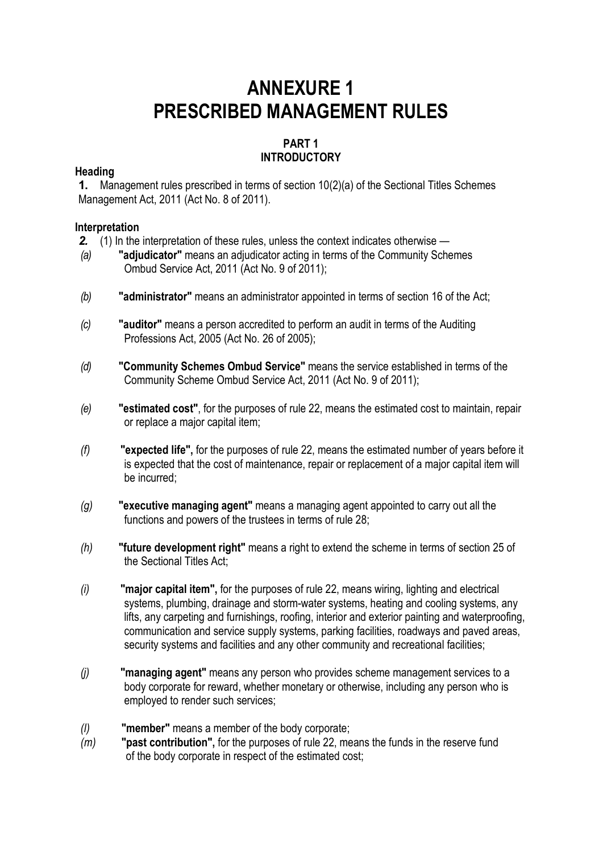# **ANNEXURE 1 PRESCRIBED MANAGEMENT RULES**

# **PART 1 INTRODUCTORY**

# **Heading**

**1.** Management rules prescribed in terms of section 10(2)(a) of the Sectional Titles Schemes Management Act, 2011 (Act No. 8 of 2011).

# **Interpretation**

- *2.* (1) In the interpretation of these rules, unless the context indicates otherwise *—*
- *(a)* **"adjudicator"** means an adjudicator acting in terms of the Community Schemes Ombud Service Act, 2011 (Act No. 9 of 2011);
- *(b)* **"administrator"** means an administrator appointed in terms of section 16 of the Act;
- *(c)* **"auditor"** means a person accredited to perform an audit in terms of the Auditing Professions Act, 2005 (Act No. 26 of 2005);
- *(d)* **"Community Schemes Ombud Service"** means the service established in terms of the Community Scheme Ombud Service Act, 2011 (Act No. 9 of 2011);
- *(e)* **"estimated cost"**, for the purposes of rule 22, means the estimated cost to maintain, repair or replace a major capital item;
- *(f)* **"expected life",** for the purposes of rule 22, means the estimated number of years before it is expected that the cost of maintenance, repair or replacement of a major capital item will be incurred;
- *(g)* **"executive managing agent"** means a managing agent appointed to carry out all the functions and powers of the trustees in terms of rule 28;
- *(h)* **"future development right"** means a right to extend the scheme in terms of section 25 of the Sectional Titles Act;
- *(i)* **"major capital item",** for the purposes of rule 22, means wiring, lighting and electrical systems, plumbing, drainage and storm-water systems, heating and cooling systems, any lifts, any carpeting and furnishings, roofing, interior and exterior painting and waterproofing, communication and service supply systems, parking facilities, roadways and paved areas, security systems and facilities and any other community and recreational facilities;
- *(j)* **"managing agent"** means any person who provides scheme management services to a body corporate for reward, whether monetary or otherwise, including any person who is employed to render such services;
- *(l)* **"member"** means a member of the body corporate;
- *(m)* **"past contribution",** for the purposes of rule 22, means the funds in the reserve fund of the body corporate in respect of the estimated cost;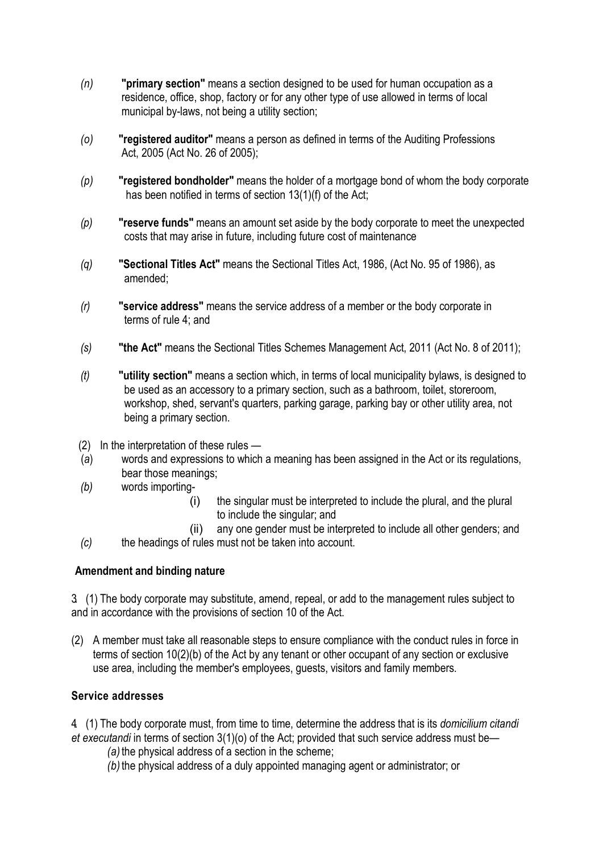- *(n)* **"primary section"** means a section designed to be used for human occupation as a residence, office, shop, factory or for any other type of use allowed in terms of local municipal by-laws, not being a utility section;
- *(o)* **"registered auditor"** means a person as defined in terms of the Auditing Professions Act, 2005 (Act No. 26 of 2005);
- *(p)* **"registered bondholder"** means the holder of a mortgage bond of whom the body corporate has been notified in terms of section 13(1)(f) of the Act;
- *(p)* **"reserve funds"** means an amount set aside by the body corporate to meet the unexpected costs that may arise in future, including future cost of maintenance
- *(q)* **"Sectional Titles Act"** means the Sectional Titles Act, 1986, (Act No. 95 of 1986), as amended;
- *(r)* **"service address"** means the service address of a member or the body corporate in terms of rule 4; and
- *(s)* **"the Act"** means the Sectional Titles Schemes Management Act, 2011 (Act No. 8 of 2011);
- *(t)* **"utility section"** means a section which, in terms of local municipality bylaws, is designed to be used as an accessory to a primary section, such as a bathroom, toilet, storeroom, workshop, shed, servant's quarters, parking garage, parking bay or other utility area, not being a primary section.
- (2) In the interpretation of these rules —
- (*a*) words and expressions to which a meaning has been assigned in the Act or its regulations, bear those meanings;
- *(b)* words importing-
	- (i) the singular must be interpreted to include the plural, and the plural to include the singular; and
	- (ii) any one gender must be interpreted to include all other genders; and
- *(c)* the headings of rules must not be taken into account.

# **Amendment and binding nature**

3. (1) The body corporate may substitute, amend, repeal, or add to the management rules subject to and in accordance with the provisions of section 10 of the Act.

(2) A member must take all reasonable steps to ensure compliance with the conduct rules in force in terms of section 10(2)(b) of the Act by any tenant or other occupant of any section or exclusive use area, including the member's employees, guests, visitors and family members.

# **Service addresses**

4. (1) The body corporate must, from time to time, determine the address that is its *domicilium citandi et executandi* in terms of section 3(1)(o) of the Act; provided that such service address must be—

- *(a)*the physical address of a section in the scheme;
- *(b)*the physical address of a duly appointed managing agent or administrator; or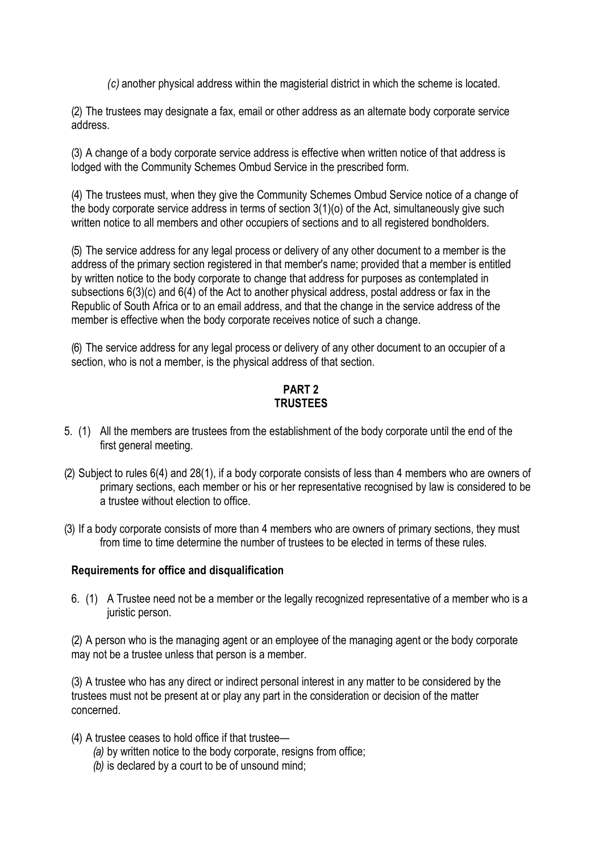*(c)* another physical address within the magisterial district in which the scheme is located.

(2) The trustees may designate a fax, email or other address as an alternate body corporate service address.

(3) A change of a body corporate service address is effective when written notice of that address is lodged with the Community Schemes Ombud Service in the prescribed form.

(4) The trustees must, when they give the Community Schemes Ombud Service notice of a change of the body corporate service address in terms of section 3(1)(o) of the Act, simultaneously give such written notice to all members and other occupiers of sections and to all registered bondholders.

(5) The service address for any legal process or delivery of any other document to a member is the address of the primary section registered in that member's name; provided that a member is entitled by written notice to the body corporate to change that address for purposes as contemplated in subsections 6(3)(c) and 6(4) of the Act to another physical address, postal address or fax in the Republic of South Africa or to an email address, and that the change in the service address of the member is effective when the body corporate receives notice of such a change.

(6) The service address for any legal process or delivery of any other document to an occupier of a section, who is not a member, is the physical address of that section.

# **PART 2 TRUSTEES**

- 5. (1) All the members are trustees from the establishment of the body corporate until the end of the first general meeting.
- (2) Subject to rules 6(4) and 28(1), if a body corporate consists of less than 4 members who are owners of primary sections, each member or his or her representative recognised by law is considered to be a trustee without election to office.
- (3) If a body corporate consists of more than 4 members who are owners of primary sections, they must from time to time determine the number of trustees to be elected in terms of these rules.

# **Requirements for office and disqualification**

6. (1) A Trustee need not be a member or the legally recognized representative of a member who is a juristic person.

(2) A person who is the managing agent or an employee of the managing agent or the body corporate may not be a trustee unless that person is a member.

(3) A trustee who has any direct or indirect personal interest in any matter to be considered by the trustees must not be present at or play any part in the consideration or decision of the matter concerned.

- (4) A trustee ceases to hold office if that trustee—
	- *(a)* by written notice to the body corporate, resigns from office;
	- *(b)* is declared by a court to be of unsound mind;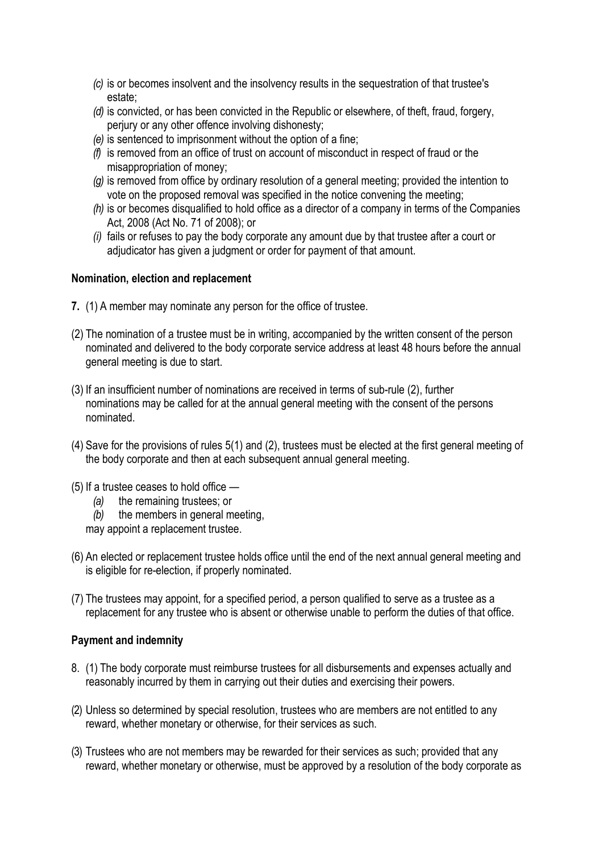- *(c)* is or becomes insolvent and the insolvency results in the sequestration of that trustee's estate;
- *(d)* is convicted, or has been convicted in the Republic or elsewhere, of theft, fraud, forgery, perjury or any other offence involving dishonesty;
- *(e)* is sentenced to imprisonment without the option of a fine;
- *(f)* is removed from an office of trust on account of misconduct in respect of fraud or the misappropriation of money;
- *(g)* is removed from office by ordinary resolution of a general meeting; provided the intention to vote on the proposed removal was specified in the notice convening the meeting;
- *(h)* is or becomes disqualified to hold office as a director of a company in terms of the Companies Act, 2008 (Act No. 71 of 2008); or
- *(i)* fails or refuses to pay the body corporate any amount due by that trustee after a court or adjudicator has given a judgment or order for payment of that amount.

# **Nomination, election and replacement**

- **7.** (1) A member may nominate any person for the office of trustee.
- (2) The nomination of a trustee must be in writing, accompanied by the written consent of the person nominated and delivered to the body corporate service address at least 48 hours before the annual general meeting is due to start.
- (3) If an insufficient number of nominations are received in terms of sub-rule (2), further nominations may be called for at the annual general meeting with the consent of the persons nominated.
- (4) Save for the provisions of rules 5(1) and (2), trustees must be elected at the first general meeting of the body corporate and then at each subsequent annual general meeting.
- (5) If a trustee ceases to hold office
	- *(a)* the remaining trustees; or
	- *(b)* the members in general meeting,

may appoint a replacement trustee.

- (6) An elected or replacement trustee holds office until the end of the next annual general meeting and is eligible for re-election, if properly nominated.
- (7) The trustees may appoint, for a specified period, a person qualified to serve as a trustee as a replacement for any trustee who is absent or otherwise unable to perform the duties of that office.

#### **Payment and indemnity**

- 8. (1) The body corporate must reimburse trustees for all disbursements and expenses actually and reasonably incurred by them in carrying out their duties and exercising their powers.
- (2) Unless so determined by special resolution, trustees who are members are not entitled to any reward, whether monetary or otherwise, for their services as such.
- (3) Trustees who are not members may be rewarded for their services as such; provided that any reward, whether monetary or otherwise, must be approved by a resolution of the body corporate as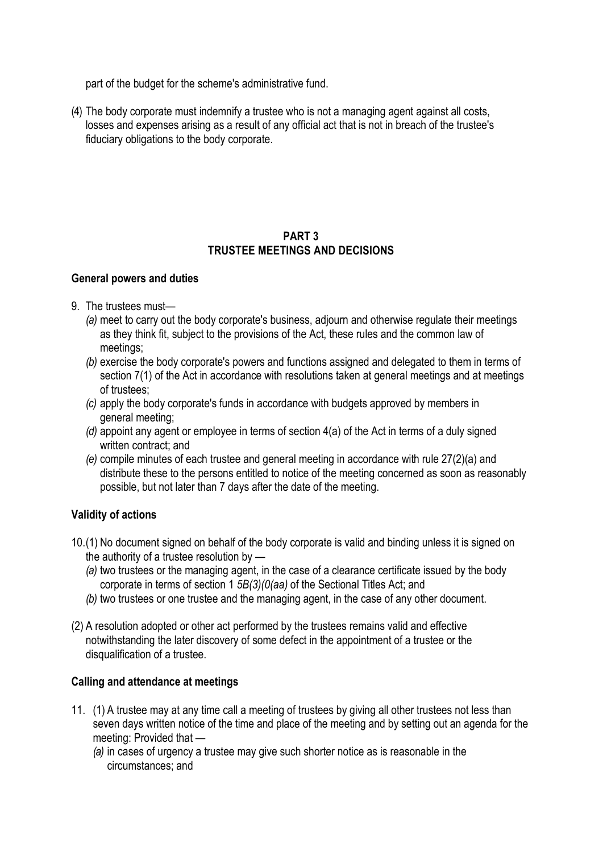part of the budget for the scheme's administrative fund.

(4) The body corporate must indemnify a trustee who is not a managing agent against all costs, losses and expenses arising as a result of any official act that is not in breach of the trustee's fiduciary obligations to the body corporate.

# **PART 3 TRUSTEE MEETINGS AND DECISIONS**

# **General powers and duties**

- 9. The trustees must—
	- *(a)* meet to carry out the body corporate's business, adjourn and otherwise regulate their meetings as they think fit, subject to the provisions of the Act, these rules and the common law of meetings;
	- *(b)* exercise the body corporate's powers and functions assigned and delegated to them in terms of section 7(1) of the Act in accordance with resolutions taken at general meetings and at meetings of trustees;
	- *(c)* apply the body corporate's funds in accordance with budgets approved by members in general meeting;
	- *(d)* appoint any agent or employee in terms of section 4(a) of the Act in terms of a duly signed written contract; and
	- *(e)* compile minutes of each trustee and general meeting in accordance with rule 27(2)(a) and distribute these to the persons entitled to notice of the meeting concerned as soon as reasonably possible, but not later than 7 days after the date of the meeting.

# **Validity of actions**

- 10.(1) No document signed on behalf of the body corporate is valid and binding unless it is signed on the authority of a trustee resolution by *—*
	- *(a)* two trustees or the managing agent, in the case of a clearance certificate issued by the body corporate in terms of section 1 *5B(3)(0(aa)* of the Sectional Titles Act; and
	- *(b)* two trustees or one trustee and the managing agent, in the case of any other document.
- (2) A resolution adopted or other act performed by the trustees remains valid and effective notwithstanding the later discovery of some defect in the appointment of a trustee or the disqualification of a trustee.

# **Calling and attendance at meetings**

- 11. (1) A trustee may at any time call a meeting of trustees by giving all other trustees not less than seven days written notice of the time and place of the meeting and by setting out an agenda for the meeting: Provided that *—*
	- *(a)* in cases of urgency a trustee may give such shorter notice as is reasonable in the circumstances; and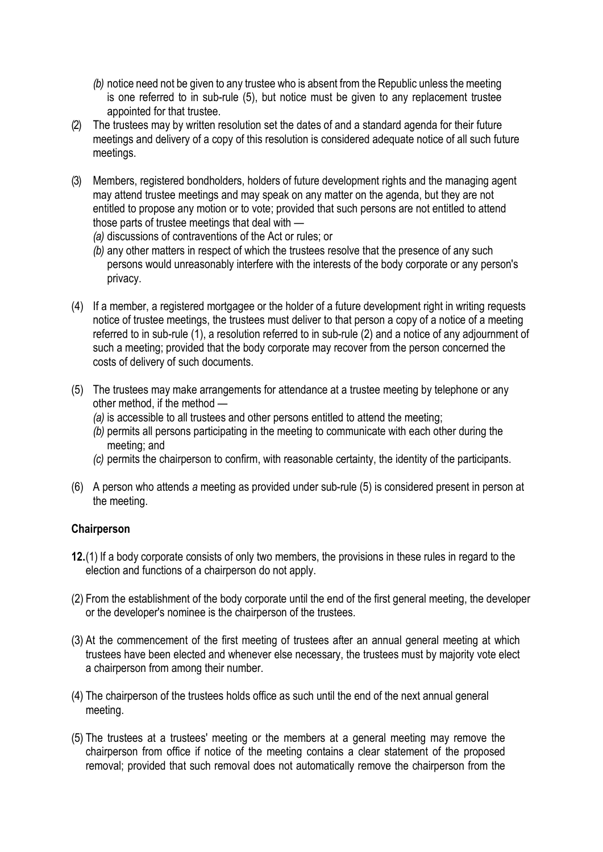- *(b)* notice need not be given to any trustee who is absent from the Republic unless the meeting is one referred to in sub-rule (5), but notice must be given to any replacement trustee appointed for that trustee.
- (2) The trustees may by written resolution set the dates of and a standard agenda for their future meetings and delivery of a copy of this resolution is considered adequate notice of all such future meetings.
- (3) Members, registered bondholders, holders of future development rights and the managing agent may attend trustee meetings and may speak on any matter on the agenda, but they are not entitled to propose any motion or to vote; provided that such persons are not entitled to attend those parts of trustee meetings that deal with *—*
	- *(a)* discussions of contraventions of the Act or rules; or
	- *(b)* any other matters in respect of which the trustees resolve that the presence of any such persons would unreasonably interfere with the interests of the body corporate or any person's privacy.
- (4) If a member, a registered mortgagee or the holder of a future development right in writing requests notice of trustee meetings, the trustees must deliver to that person a copy of a notice of a meeting referred to in sub-rule (1), a resolution referred to in sub-rule (2) and a notice of any adjournment of such a meeting; provided that the body corporate may recover from the person concerned the costs of delivery of such documents.
- (5) The trustees may make arrangements for attendance at a trustee meeting by telephone or any other method, if the method *—*
	- *(a)* is accessible to all trustees and other persons entitled to attend the meeting;
	- *(b)* permits all persons participating in the meeting to communicate with each other during the meeting; and
	- *(c)* permits the chairperson to confirm, with reasonable certainty, the identity of the participants.
- (6) A person who attends *a* meeting as provided under sub-rule (5) is considered present in person at the meeting.

# **Chairperson**

- **12.**(1) If a body corporate consists of only two members, the provisions in these rules in regard to the election and functions of a chairperson do not apply.
- (2) From the establishment of the body corporate until the end of the first general meeting, the developer or the developer's nominee is the chairperson of the trustees.
- (3) At the commencement of the first meeting of trustees after an annual general meeting at which trustees have been elected and whenever else necessary, the trustees must by majority vote elect a chairperson from among their number.
- (4) The chairperson of the trustees holds office as such until the end of the next annual general meeting.
- (5) The trustees at a trustees' meeting or the members at a general meeting may remove the chairperson from office if notice of the meeting contains a clear statement of the proposed removal; provided that such removal does not automatically remove the chairperson from the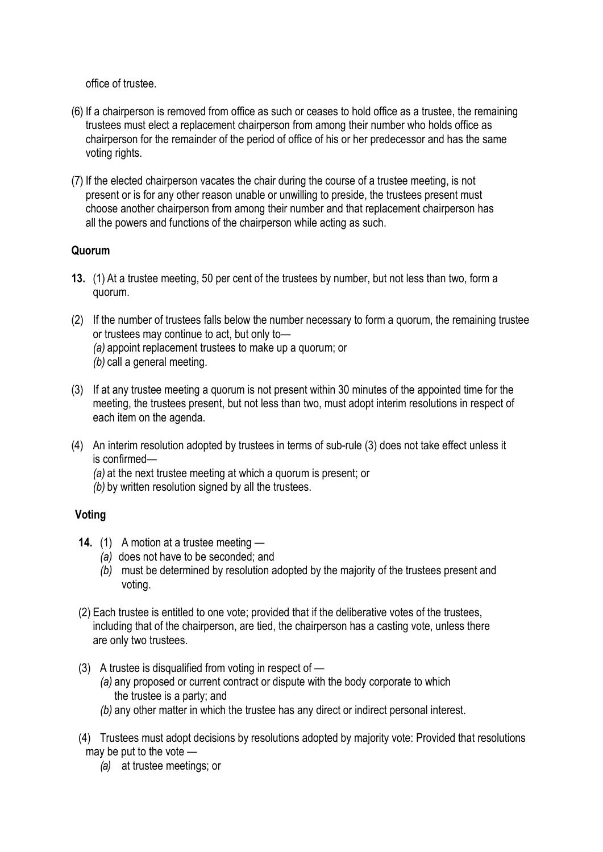office of trustee.

- (6) If a chairperson is removed from office as such or ceases to hold office as a trustee, the remaining trustees must elect a replacement chairperson from among their number who holds office as chairperson for the remainder of the period of office of his or her predecessor and has the same voting rights.
- (7) If the elected chairperson vacates the chair during the course of a trustee meeting, is not present or is for any other reason unable or unwilling to preside, the trustees present must choose another chairperson from among their number and that replacement chairperson has all the powers and functions of the chairperson while acting as such.

# **Quorum**

- **13.** (1) At a trustee meeting, 50 per cent of the trustees by number, but not less than two, form a quorum.
- (2) If the number of trustees falls below the number necessary to form a quorum, the remaining trustee or trustees may continue to act, but only to— *(a)* appoint replacement trustees to make up a quorum; or *(b)* call a general meeting.
- (3) If at any trustee meeting a quorum is not present within 30 minutes of the appointed time for the meeting, the trustees present, but not less than two, must adopt interim resolutions in respect of each item on the agenda.
- (4) An interim resolution adopted by trustees in terms of sub-rule (3) does not take effect unless it is confirmed—
	- *(a)* at the next trustee meeting at which a quorum is present; or
	- *(b)* by written resolution signed by all the trustees.

# **Voting**

- **14.** (1) A motion at a trustee meeting *—*
	- *(a)* does not have to be seconded; and
	- *(b)* must be determined by resolution adopted by the majority of the trustees present and voting.
- (2) Each trustee is entitled to one vote; provided that if the deliberative votes of the trustees, including that of the chairperson, are tied, the chairperson has a casting vote, unless there are only two trustees.
- (3) A trustee is disqualified from voting in respect of
	- *(a)* any proposed or current contract or dispute with the body corporate to which the trustee is a party; and
	- *(b)* any other matter in which the trustee has any direct or indirect personal interest.
- (4) Trustees must adopt decisions by resolutions adopted by majority vote: Provided that resolutions may be put to the vote *—*
	- *(a)* at trustee meetings; or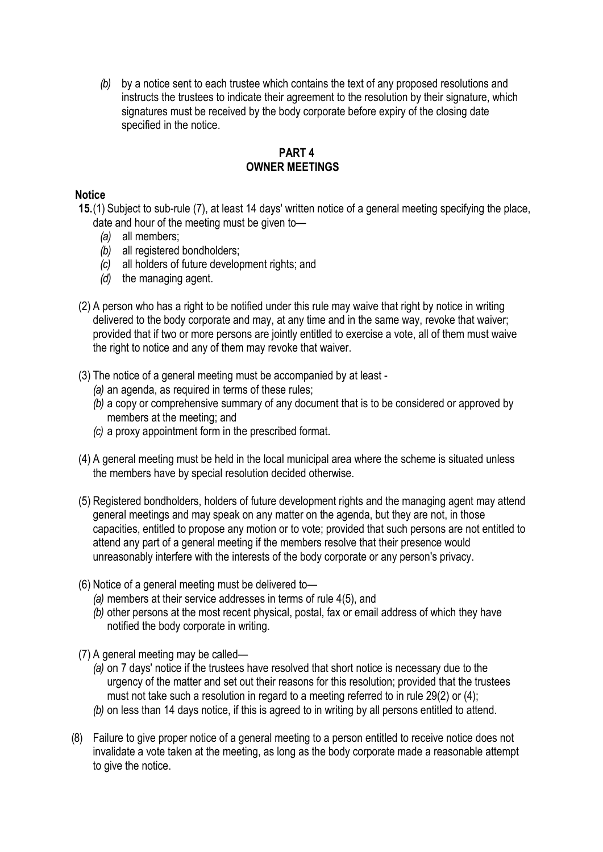*(b)* by a notice sent to each trustee which contains the text of any proposed resolutions and instructs the trustees to indicate their agreement to the resolution by their signature, which signatures must be received by the body corporate before expiry of the closing date specified in the notice.

# **PART 4 OWNER MEETINGS**

# **Notice**

- **15.**(1) Subject to sub-rule (7), at least 14 days' written notice of a general meeting specifying the place, date and hour of the meeting must be given to—
	- *(a)* all members;
	- *(b)* all registered bondholders;
	- *(c)* all holders of future development rights; and
	- *(d)* the managing agent.
- (2) A person who has a right to be notified under this rule may waive that right by notice in writing delivered to the body corporate and may, at any time and in the same way, revoke that waiver; provided that if two or more persons are jointly entitled to exercise a vote, all of them must waive the right to notice and any of them may revoke that waiver.
- (3) The notice of a general meeting must be accompanied by at least
	- *(a)* an agenda, as required in terms of these rules;
	- *(b)* a copy or comprehensive summary of any document that is to be considered or approved by members at the meeting; and
	- *(c)* a proxy appointment form in the prescribed format.
- (4) A general meeting must be held in the local municipal area where the scheme is situated unless the members have by special resolution decided otherwise.
- (5) Registered bondholders, holders of future development rights and the managing agent may attend general meetings and may speak on any matter on the agenda, but they are not, in those capacities, entitled to propose any motion or to vote; provided that such persons are not entitled to attend any part of a general meeting if the members resolve that their presence would unreasonably interfere with the interests of the body corporate or any person's privacy.
- (6) Notice of a general meeting must be delivered to—
	- *(a)* members at their service addresses in terms of rule 4(5), and
	- *(b)* other persons at the most recent physical, postal, fax or email address of which they have notified the body corporate in writing.
- (7) A general meeting may be called—
	- *(a)* on 7 days' notice if the trustees have resolved that short notice is necessary due to the urgency of the matter and set out their reasons for this resolution; provided that the trustees must not take such a resolution in regard to a meeting referred to in rule 29(2) or (4); *(b)* on less than 14 days notice, if this is agreed to in writing by all persons entitled to attend.
- (8) Failure to give proper notice of a general meeting to a person entitled to receive notice does not invalidate a vote taken at the meeting, as long as the body corporate made a reasonable attempt to give the notice.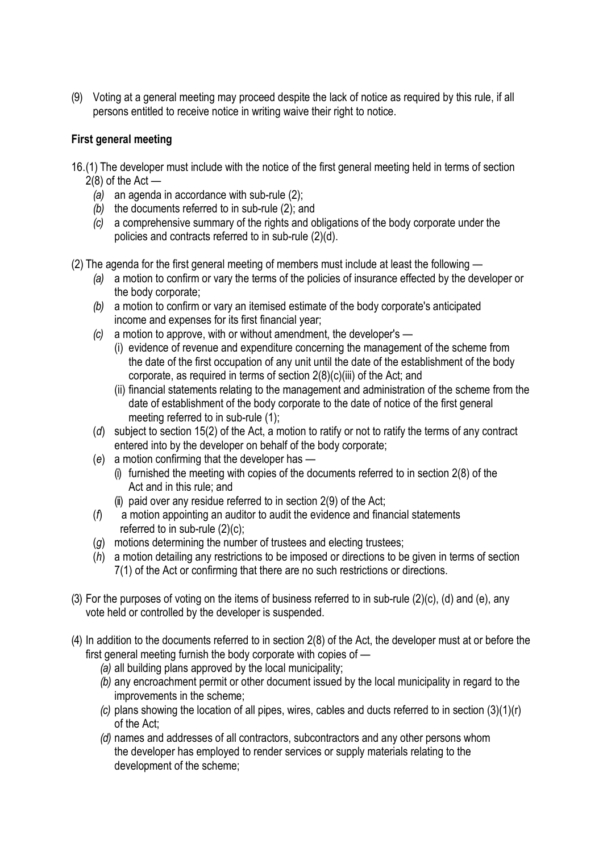(9) Voting at a general meeting may proceed despite the lack of notice as required by this rule, if all persons entitled to receive notice in writing waive their right to notice.

# **First general meeting**

- 16.(1) The developer must include with the notice of the first general meeting held in terms of section  $2(8)$  of the Act —
	- *(a)* an agenda in accordance with sub-rule (2);
	- *(b)* the documents referred to in sub-rule (2); and
	- *(c)* a comprehensive summary of the rights and obligations of the body corporate under the policies and contracts referred to in sub-rule (2)(d).
- (2) The agenda for the first general meeting of members must include at least the following
	- *(a)* a motion to confirm or vary the terms of the policies of insurance effected by the developer or the body corporate;
	- *(b)* a motion to confirm or vary an itemised estimate of the body corporate's anticipated income and expenses for its first financial year;
	- *(c)* a motion to approve, with or without amendment, the developer's
		- (i) evidence of revenue and expenditure concerning the management of the scheme from the date of the first occupation of any unit until the date of the establishment of the body corporate, as required in terms of section 2(8)(c)(iii) of the Act; and
		- (ii) financial statements relating to the management and administration of the scheme from the date of establishment of the body corporate to the date of notice of the first general meeting referred to in sub-rule (1);
	- (*d*) subject to section 15(2) of the Act, a motion to ratify or not to ratify the terms of any contract entered into by the developer on behalf of the body corporate;
	- (*e*) a motion confirming that the developer has
		- (i) furnished the meeting with copies of the documents referred to in section 2(8) of the Act and in this rule; and
		- (ii) paid over any residue referred to in section 2(9) of the Act;
	- (*f*) a motion appointing an auditor to audit the evidence and financial statements referred to in sub-rule (2)(c);
	- (*g*) motions determining the number of trustees and electing trustees;
	- (*h*) a motion detailing any restrictions to be imposed or directions to be given in terms of section 7(1) of the Act or confirming that there are no such restrictions or directions.
- (3) For the purposes of voting on the items of business referred to in sub-rule (2)(c), (d) and (e), any vote held or controlled by the developer is suspended.
- (4) In addition to the documents referred to in section 2(8) of the Act, the developer must at or before the first general meeting furnish the body corporate with copies of —
	- *(a)* all building plans approved by the local municipality;
	- *(b)* any encroachment permit or other document issued by the local municipality in regard to the improvements in the scheme;
	- *(c)* plans showing the location of all pipes, wires, cables and ducts referred to in section (3)(1)(r) of the Act;
	- *(d)* names and addresses of all contractors, subcontractors and any other persons whom the developer has employed to render services or supply materials relating to the development of the scheme;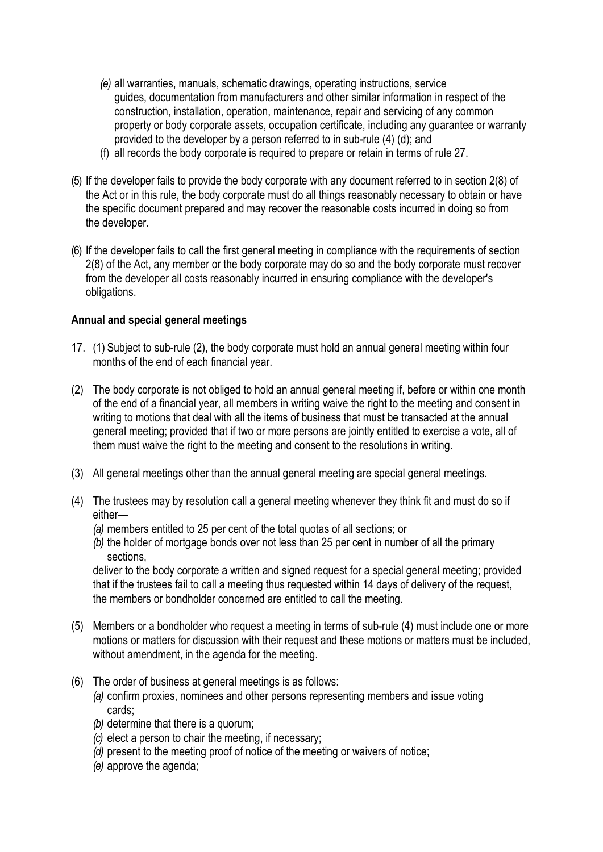- *(e)* all warranties, manuals, schematic drawings, operating instructions, service guides, documentation from manufacturers and other similar information in respect of the construction, installation, operation, maintenance, repair and servicing of any common property or body corporate assets, occupation certificate, including any guarantee or warranty provided to the developer by a person referred to in sub-rule (4) (d); and
- (f) all records the body corporate is required to prepare or retain in terms of rule 27.
- (5) If the developer fails to provide the body corporate with any document referred to in section 2(8) of the Act or in this rule, the body corporate must do all things reasonably necessary to obtain or have the specific document prepared and may recover the reasonable costs incurred in doing so from the developer.
- (6) If the developer fails to call the first general meeting in compliance with the requirements of section 2(8) of the Act, any member or the body corporate may do so and the body corporate must recover from the developer all costs reasonably incurred in ensuring compliance with the developer's obligations.

# **Annual and special general meetings**

- 17. (1) Subject to sub-rule (2), the body corporate must hold an annual general meeting within four months of the end of each financial year.
- (2) The body corporate is not obliged to hold an annual general meeting if, before or within one month of the end of a financial year, all members in writing waive the right to the meeting and consent in writing to motions that deal with all the items of business that must be transacted at the annual general meeting; provided that if two or more persons are jointly entitled to exercise a vote, all of them must waive the right to the meeting and consent to the resolutions in writing.
- (3) All general meetings other than the annual general meeting are special general meetings.
- (4) The trustees may by resolution call a general meeting whenever they think fit and must do so if either—
	- *(a)* members entitled to 25 per cent of the total quotas of all sections; or
	- *(b)* the holder of mortgage bonds over not less than 25 per cent in number of all the primary sections,

deliver to the body corporate a written and signed request for a special general meeting; provided that if the trustees fail to call a meeting thus requested within 14 days of delivery of the request, the members or bondholder concerned are entitled to call the meeting.

- (5) Members or a bondholder who request a meeting in terms of sub-rule (4) must include one or more motions or matters for discussion with their request and these motions or matters must be included, without amendment, in the agenda for the meeting.
- (6) The order of business at general meetings is as follows:
	- *(a)* confirm proxies, nominees and other persons representing members and issue voting cards;
	- *(b)* determine that there is a quorum;
	- *(c)* elect a person to chair the meeting, if necessary;
	- *(d)* present to the meeting proof of notice of the meeting or waivers of notice;
	- *(e)* approve the agenda;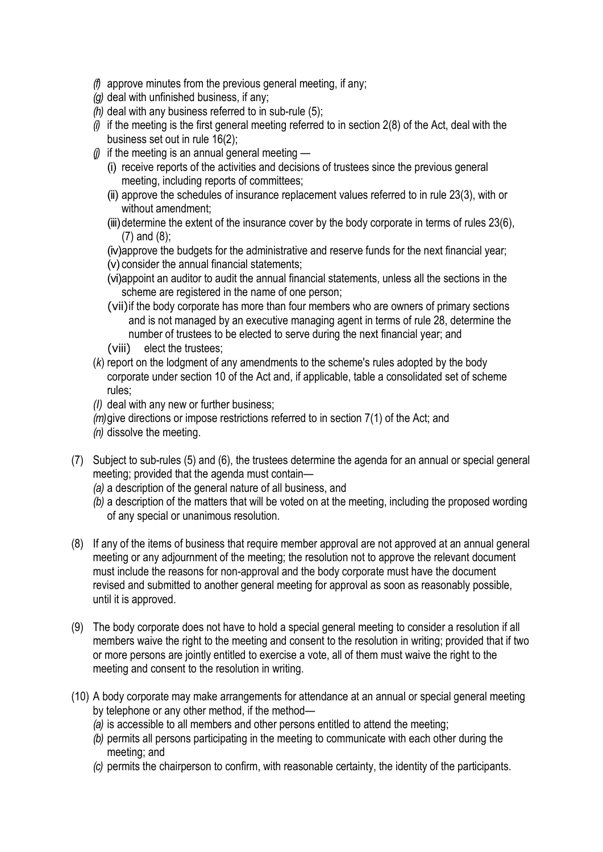- *(f)* approve minutes from the previous general meeting, if any;
- *(g)* deal with unfinished business, if any;
- *(h)* deal with any business referred to in sub-rule (5);
- *(i)* if the meeting is the first general meeting referred to in section 2(8) of the Act, deal with the business set out in rule 16(2);
- *(j)* if the meeting is an annual general meeting
	- (i) receive reports of the activities and decisions of trustees since the previous general meeting, including reports of committees;
	- (ii) approve the schedules of insurance replacement values referred to in rule 23(3), with or without amendment;
	- (iii) determine the extent of the insurance cover by the body corporate in terms of rules 23(6), (7) and (8);
	- (iv)approve the budgets for the administrative and reserve funds for the next financial year;
	- (v) consider the annual financial statements;
	- (vi)appoint an auditor to audit the annual financial statements, unless all the sections in the scheme are registered in the name of one person;
	- (vii)if the body corporate has more than four members who are owners of primary sections and is not managed by an executive managing agent in terms of rule 28, determine the number of trustees to be elected to serve during the next financial year; and
	- (viii) elect the trustees;
- (*k*) report on the lodgment of any amendments to the scheme's rules adopted by the body corporate under section 10 of the Act and, if applicable, table a consolidated set of scheme rules;
- *(I)* deal with any new or further business;
- *(m)*give directions or impose restrictions referred to in section 7(1) of the Act; and
- *(n)* dissolve the meeting.
- (7) Subject to sub-rules (5) and (6), the trustees determine the agenda for an annual or special general meeting; provided that the agenda must contain—
	- *(a)* a description of the general nature of all business, and
	- *(b)* a description of the matters that will be voted on at the meeting, including the proposed wording of any special or unanimous resolution.
- (8) If any of the items of business that require member approval are not approved at an annual general meeting or any adjournment of the meeting; the resolution not to approve the relevant document must include the reasons for non-approval and the body corporate must have the document revised and submitted to another general meeting for approval as soon as reasonably possible, until it is approved.
- (9) The body corporate does not have to hold a special general meeting to consider a resolution if all members waive the right to the meeting and consent to the resolution in writing; provided that if two or more persons are jointly entitled to exercise a vote, all of them must waive the right to the meeting and consent to the resolution in writing.
- (10) A body corporate may make arrangements for attendance at an annual or special general meeting by telephone or any other method, if the method—
	- *(a)* is accessible to all members and other persons entitled to attend the meeting;
	- *(b)* permits all persons participating in the meeting to communicate with each other during the meeting; and
	- *(c)* permits the chairperson to confirm, with reasonable certainty, the identity of the participants.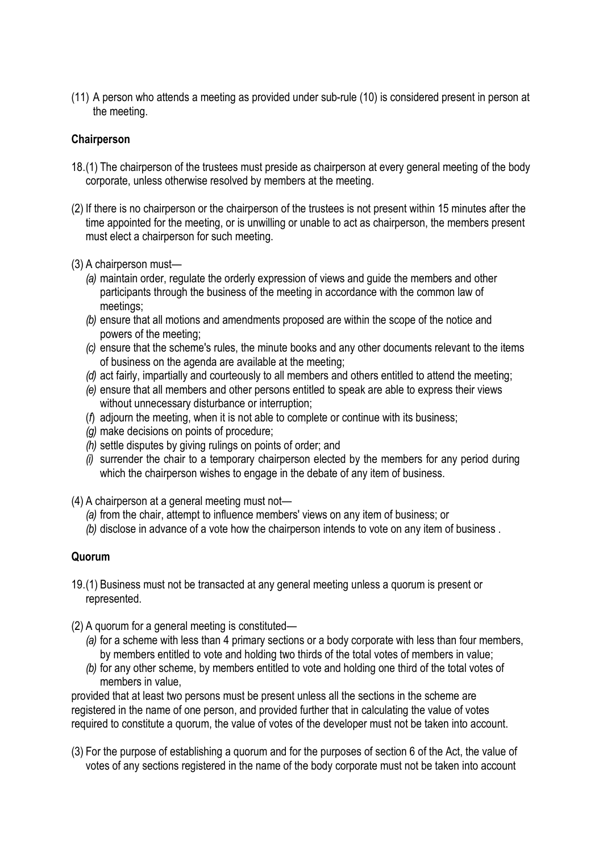(11) A person who attends a meeting as provided under sub-rule (10) is considered present in person at the meeting.

# **Chairperson**

- 18.(1) The chairperson of the trustees must preside as chairperson at every general meeting of the body corporate, unless otherwise resolved by members at the meeting.
- (2) If there is no chairperson or the chairperson of the trustees is not present within 15 minutes after the time appointed for the meeting, or is unwilling or unable to act as chairperson, the members present must elect a chairperson for such meeting.
- (3) A chairperson must—
	- *(a)* maintain order, regulate the orderly expression of views and guide the members and other participants through the business of the meeting in accordance with the common law of meetings;
	- *(b)* ensure that all motions and amendments proposed are within the scope of the notice and powers of the meeting;
	- *(c)* ensure that the scheme's rules, the minute books and any other documents relevant to the items of business on the agenda are available at the meeting;
	- *(d)* act fairly, impartially and courteously to all members and others entitled to attend the meeting;
	- *(e)* ensure that all members and other persons entitled to speak are able to express their views without unnecessary disturbance or interruption;
	- (*f*) adjourn the meeting, when it is not able to complete or continue with its business;
	- *(g)* make decisions on points of procedure;
	- *(h)* settle disputes by giving rulings on points of order; and
	- *(i)* surrender the chair to a temporary chairperson elected by the members for any period during which the chairperson wishes to engage in the debate of any item of business.
- (4) A chairperson at a general meeting must not—
	- *(a)* from the chair, attempt to influence members' views on any item of business; or
	- *(b)* disclose in advance of a vote how the chairperson intends to vote on any item of business .

# **Quorum**

- 19.(1) Business must not be transacted at any general meeting unless a quorum is present or represented.
- (2) A quorum for a general meeting is constituted—
	- *(a)* for a scheme with less than 4 primary sections or a body corporate with less than four members, by members entitled to vote and holding two thirds of the total votes of members in value;
	- *(b)* for any other scheme, by members entitled to vote and holding one third of the total votes of members in value,

provided that at least two persons must be present unless all the sections in the scheme are registered in the name of one person, and provided further that in calculating the value of votes required to constitute a quorum, the value of votes of the developer must not be taken into account.

(3) For the purpose of establishing a quorum and for the purposes of section 6 of the Act, the value of votes of any sections registered in the name of the body corporate must not be taken into account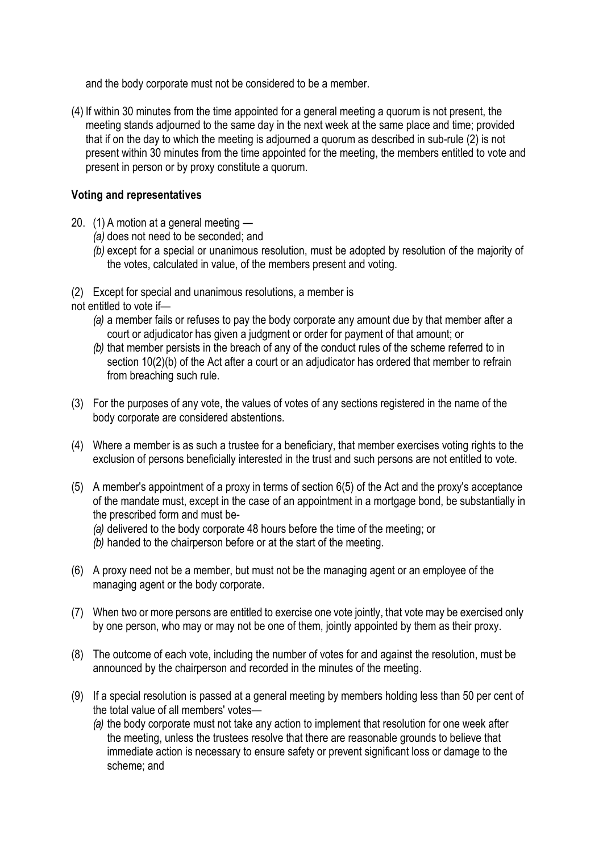and the body corporate must not be considered to be a member.

(4) If within 30 minutes from the time appointed for a general meeting a quorum is not present, the meeting stands adjourned to the same day in the next week at the same place and time; provided that if on the day to which the meeting is adjourned a quorum as described in sub-rule (2) is not present within 30 minutes from the time appointed for the meeting, the members entitled to vote and present in person or by proxy constitute a quorum.

# **Voting and representatives**

- 20. (1) A motion at a general meeting
	- *(a)* does not need to be seconded; and
	- *(b)* except for a special or unanimous resolution, must be adopted by resolution of the majority of the votes, calculated in value, of the members present and voting.
- (2) Except for special and unanimous resolutions, a member is

not entitled to vote if—

- *(a)* a member fails or refuses to pay the body corporate any amount due by that member after a court or adjudicator has given a judgment or order for payment of that amount; or
- *(b)* that member persists in the breach of any of the conduct rules of the scheme referred to in section 10(2)(b) of the Act after a court or an adjudicator has ordered that member to refrain from breaching such rule.
- (3) For the purposes of any vote, the values of votes of any sections registered in the name of the body corporate are considered abstentions.
- (4) Where a member is as such a trustee for a beneficiary, that member exercises voting rights to the exclusion of persons beneficially interested in the trust and such persons are not entitled to vote.
- (5) A member's appointment of a proxy in terms of section 6(5) of the Act and the proxy's acceptance of the mandate must, except in the case of an appointment in a mortgage bond, be substantially in the prescribed form and must be-
	- *(a)* delivered to the body corporate 48 hours before the time of the meeting; or
	- *(b)* handed to the chairperson before or at the start of the meeting.
- (6) A proxy need not be a member, but must not be the managing agent or an employee of the managing agent or the body corporate.
- (7) When two or more persons are entitled to exercise one vote jointly, that vote may be exercised only by one person, who may or may not be one of them, jointly appointed by them as their proxy.
- (8) The outcome of each vote, including the number of votes for and against the resolution, must be announced by the chairperson and recorded in the minutes of the meeting.
- (9) If a special resolution is passed at a general meeting by members holding less than 50 per cent of the total value of all members' votes—
	- *(a)* the body corporate must not take any action to implement that resolution for one week after the meeting, unless the trustees resolve that there are reasonable grounds to believe that immediate action is necessary to ensure safety or prevent significant loss or damage to the scheme; and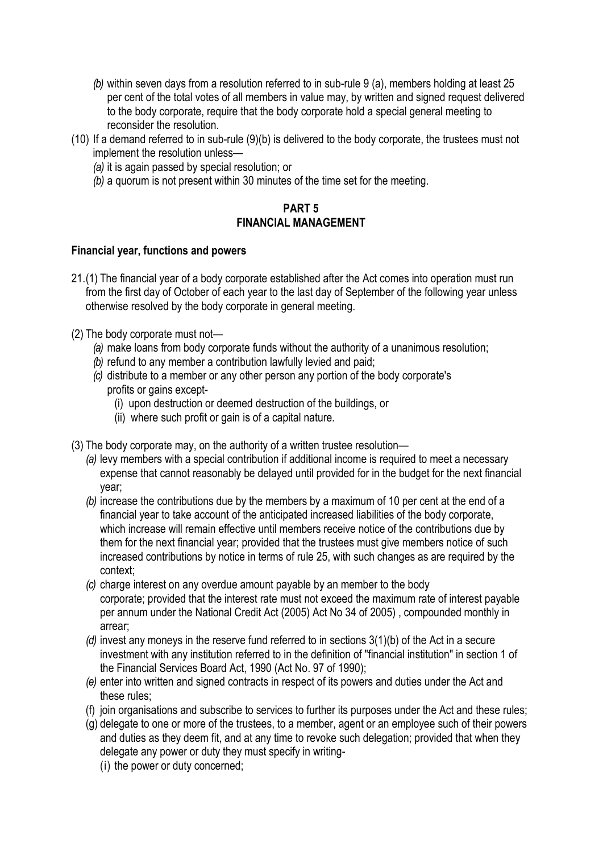- *(b)* within seven days from a resolution referred to in sub-rule 9 (a), members holding at least 25 per cent of the total votes of all members in value may, by written and signed request delivered to the body corporate, require that the body corporate hold a special general meeting to reconsider the resolution.
- (10) If a demand referred to in sub-rule (9)(b) is delivered to the body corporate, the trustees must not implement the resolution unless—
	- *(a)* it is again passed by special resolution; or
	- *(b)* a quorum is not present within 30 minutes of the time set for the meeting.

# **PART 5 FINANCIAL MANAGEMENT**

# **Financial year, functions and powers**

- 21.(1) The financial year of a body corporate established after the Act comes into operation must run from the first day of October of each year to the last day of September of the following year unless otherwise resolved by the body corporate in general meeting.
- (2) The body corporate must not—
	- *(a)* make loans from body corporate funds without the authority of a unanimous resolution;
	- *(b)* refund to any member a contribution lawfully levied and paid;
	- *(c)* distribute to a member or any other person any portion of the body corporate's profits or gains except-
		- (i) upon destruction or deemed destruction of the buildings, or
		- (ii) where such profit or gain is of a capital nature.
- (3) The body corporate may, on the authority of a written trustee resolution—
	- *(a)* levy members with a special contribution if additional income is required to meet a necessary expense that cannot reasonably be delayed until provided for in the budget for the next financial year;
	- *(b)* increase the contributions due by the members by a maximum of 10 per cent at the end of a financial year to take account of the anticipated increased liabilities of the body corporate, which increase will remain effective until members receive notice of the contributions due by them for the next financial year; provided that the trustees must give members notice of such increased contributions by notice in terms of rule 25, with such changes as are required by the context;
	- *(c)* charge interest on any overdue amount payable by an member to the body corporate; provided that the interest rate must not exceed the maximum rate of interest payable per annum under the National Credit Act (2005) Act No 34 of 2005) , compounded monthly in arrear;
	- *(d)* invest any moneys in the reserve fund referred to in sections 3(1)(b) of the Act in a secure investment with any institution referred to in the definition of "financial institution" in section 1 of the Financial Services Board Act, 1990 (Act No. 97 of 1990);
	- *(e)* enter into written and signed contracts in respect of its powers and duties under the Act and these rules;
	- (f) join organisations and subscribe to services to further its purposes under the Act and these rules;
	- (g) delegate to one or more of the trustees, to a member, agent or an employee such of their powers and duties as they deem fit, and at any time to revoke such delegation; provided that when they delegate any power or duty they must specify in writing-
		- (i) the power or duty concerned;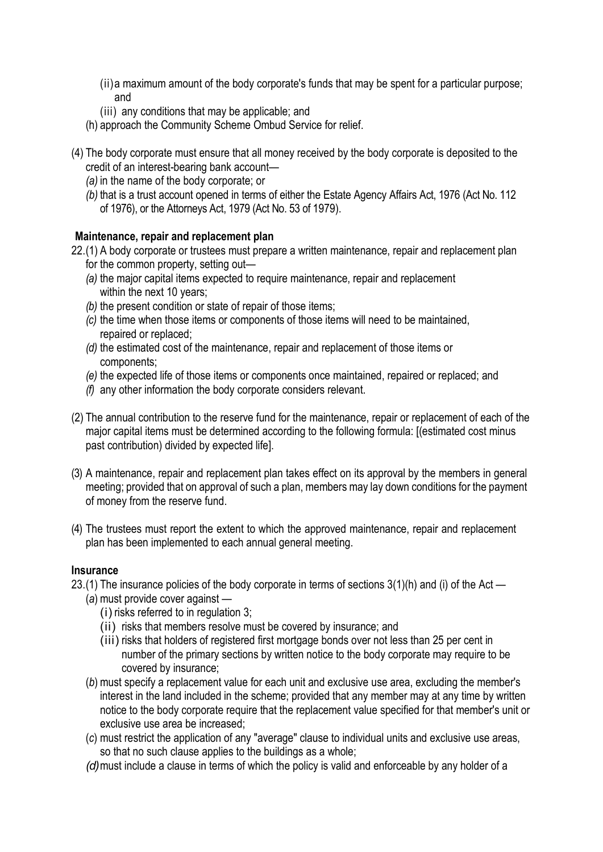- (ii)a maximum amount of the body corporate's funds that may be spent for a particular purpose; and
- (iii) any conditions that may be applicable; and
- (h) approach the Community Scheme Ombud Service for relief.
- (4) The body corporate must ensure that all money received by the body corporate is deposited to the credit of an interest-bearing bank account—
	- *(a)* in the name of the body corporate; or
	- *(b)* that is a trust account opened in terms of either the Estate Agency Affairs Act, 1976 (Act No. 112 of 1976), or the Attorneys Act, 1979 (Act No. 53 of 1979).

# **Maintenance, repair and replacement plan**

22.(1) A body corporate or trustees must prepare a written maintenance, repair and replacement plan

- for the common property, setting out—
- *(a)* the major capital items expected to require maintenance, repair and replacement within the next 10 years;
- *(b)* the present condition or state of repair of those items;
- *(c)* the time when those items or components of those items will need to be maintained, repaired or replaced;
- *(d)* the estimated cost of the maintenance, repair and replacement of those items or components;
- *(e)* the expected life of those items or components once maintained, repaired or replaced; and
- *(f)* any other information the body corporate considers relevant.
- (2) The annual contribution to the reserve fund for the maintenance, repair or replacement of each of the major capital items must be determined according to the following formula: [(estimated cost minus past contribution) divided by expected life].
- (3) A maintenance, repair and replacement plan takes effect on its approval by the members in general meeting; provided that on approval of such a plan, members may lay down conditions for the payment of money from the reserve fund.
- (4) The trustees must report the extent to which the approved maintenance, repair and replacement plan has been implemented to each annual general meeting.

#### **Insurance**

- 23.(1) The insurance policies of the body corporate in terms of sections 3(1)(h) and (i) of the Act
	- (*a*) must provide cover against
		- (i) risks referred to in regulation 3;
		- (ii) risks that members resolve must be covered by insurance; and
		- (iii) risks that holders of registered first mortgage bonds over not less than 25 per cent in number of the primary sections by written notice to the body corporate may require to be covered by insurance;
	- (*b*) must specify a replacement value for each unit and exclusive use area, excluding the member's interest in the land included in the scheme; provided that any member may at any time by written notice to the body corporate require that the replacement value specified for that member's unit or exclusive use area be increased;
	- (*c*) must restrict the application of any "average" clause to individual units and exclusive use areas, so that no such clause applies to the buildings as a whole;
	- *(d)*must include a clause in terms of which the policy is valid and enforceable by any holder of a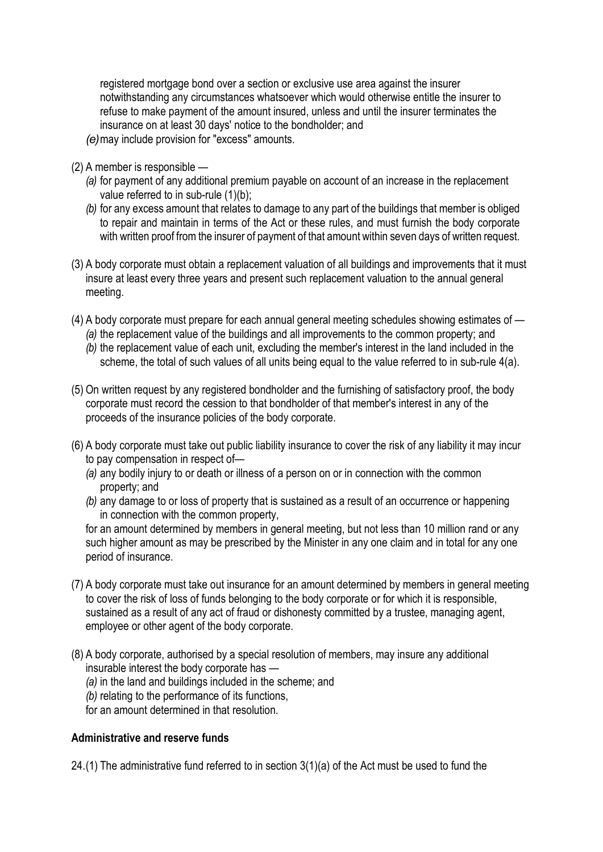registered mortgage bond over a section or exclusive use area against the insurer notwithstanding any circumstances whatsoever which would otherwise entitle the insurer to refuse to make payment of the amount insured, unless and until the insurer terminates the insurance on at least 30 days' notice to the bondholder; and

*(e)*may include provision for "excess" amounts.

- (2) A member is responsible
	- *(a)* for payment of any additional premium payable on account of an increase in the replacement value referred to in sub-rule (1)(b);
	- *(b)* for any excess amount that relates to damage to any part of the buildings that member is obliged to repair and maintain in terms of the Act or these rules, and must furnish the body corporate with written proof from the insurer of payment of that amount within seven days of written request.
- (3) A body corporate must obtain a replacement valuation of all buildings and improvements that it must insure at least every three years and present such replacement valuation to the annual general meeting.
- (4) A body corporate must prepare for each annual general meeting schedules showing estimates of *(a)* the replacement value of the buildings and all improvements to the common property; and
	- *(b)* the replacement value of each unit, excluding the member's interest in the land included in the scheme, the total of such values of all units being equal to the value referred to in sub-rule 4(a).
- (5) On written request by any registered bondholder and the furnishing of satisfactory proof, the body corporate must record the cession to that bondholder of that member's interest in any of the proceeds of the insurance policies of the body corporate.
- (6) A body corporate must take out public liability insurance to cover the risk of any liability it may incur to pay compensation in respect of—
	- *(a)* any bodily injury to or death or illness of a person on or in connection with the common property; and
	- *(b)* any damage to or loss of property that is sustained as a result of an occurrence or happening in connection with the common property,

for an amount determined by members in general meeting, but not less than 10 million rand or any such higher amount as may be prescribed by the Minister in any one claim and in total for any one period of insurance.

- (7) A body corporate must take out insurance for an amount determined by members in general meeting to cover the risk of loss of funds belonging to the body corporate or for which it is responsible, sustained as a result of any act of fraud or dishonesty committed by a trustee, managing agent, employee or other agent of the body corporate.
- (8) A body corporate, authorised by a special resolution of members, may insure any additional insurable interest the body corporate has —
	- *(a)* in the land and buildings included in the scheme; and
	- *(b)* relating to the performance of its functions,
	- for an amount determined in that resolution.

# **Administrative and reserve funds**

24.(1) The administrative fund referred to in section 3(1)(a) of the Act must be used to fund the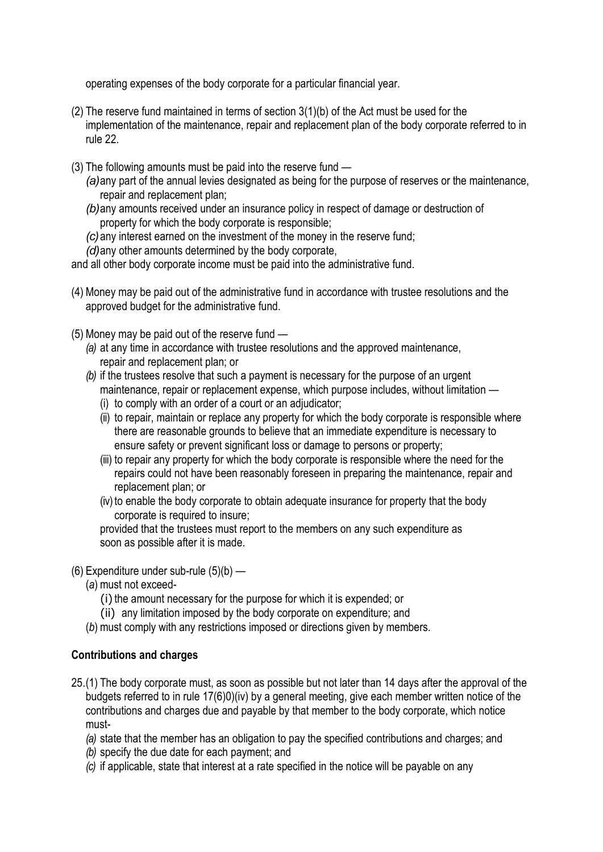operating expenses of the body corporate for a particular financial year.

- (2) The reserve fund maintained in terms of section 3(1)(b) of the Act must be used for the implementation of the maintenance, repair and replacement plan of the body corporate referred to in rule 22.
- (3) The following amounts must be paid into the reserve fund
	- *(a)*any part of the annual levies designated as being for the purpose of reserves or the maintenance, repair and replacement plan;
	- *(b)*any amounts received under an insurance policy in respect of damage or destruction of property for which the body corporate is responsible;
	- *(c)*any interest earned on the investment of the money in the reserve fund;
	- *(d)*any other amounts determined by the body corporate,

and all other body corporate income must be paid into the administrative fund.

- (4) Money may be paid out of the administrative fund in accordance with trustee resolutions and the approved budget for the administrative fund.
- (5) Money may be paid out of the reserve fund
	- *(a)* at any time in accordance with trustee resolutions and the approved maintenance, repair and replacement plan; or
	- *(b)* if the trustees resolve that such a payment is necessary for the purpose of an urgent maintenance, repair or replacement expense, which purpose includes, without limitation —
		- (i) to comply with an order of a court or an adjudicator;
		- (ii) to repair, maintain or replace any property for which the body corporate is responsible where there are reasonable grounds to believe that an immediate expenditure is necessary to ensure safety or prevent significant loss or damage to persons or property;
		- (iii) to repair any property for which the body corporate is responsible where the need for the repairs could not have been reasonably foreseen in preparing the maintenance, repair and replacement plan; or
		- (iv) to enable the body corporate to obtain adequate insurance for property that the body corporate is required to insure;

provided that the trustees must report to the members on any such expenditure as soon as possible after it is made.

- (6) Expenditure under sub-rule (5)(b)
	- (*a*) must not exceed-
		- (i) the amount necessary for the purpose for which it is expended; or
		- (ii) any limitation imposed by the body corporate on expenditure; and
	- (*b*) must comply with any restrictions imposed or directions given by members.

# **Contributions and charges**

- 25.(1) The body corporate must, as soon as possible but not later than 14 days after the approval of the budgets referred to in rule 17(6)0)(iv) by a general meeting, give each member written notice of the contributions and charges due and payable by that member to the body corporate, which notice must-
	- *(a)* state that the member has an obligation to pay the specified contributions and charges; and
	- *(b)* specify the due date for each payment; and
	- *(c)* if applicable, state that interest at a rate specified in the notice will be payable on any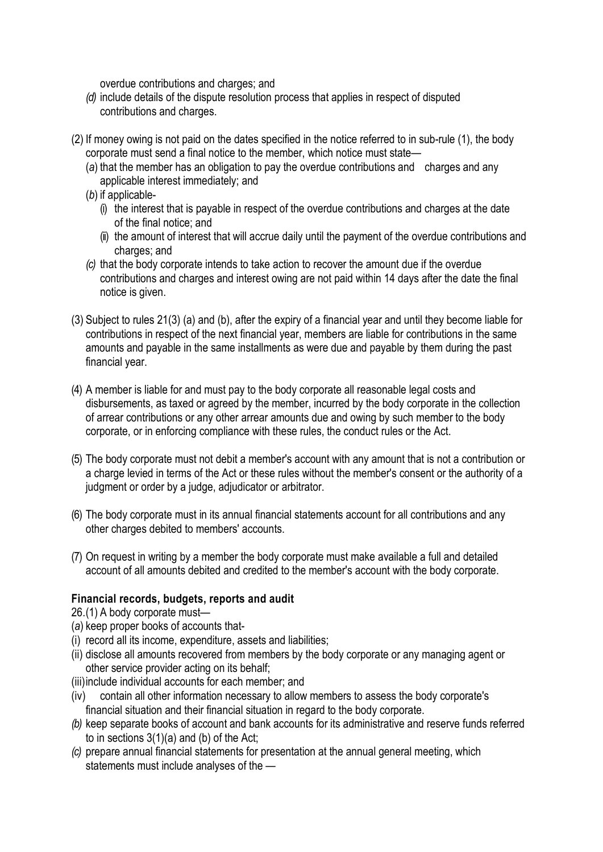overdue contributions and charges; and

- *(d)* include details of the dispute resolution process that applies in respect of disputed contributions and charges.
- (2) If money owing is not paid on the dates specified in the notice referred to in sub-rule (1), the body corporate must send a final notice to the member, which notice must state—
	- (*a*) that the member has an obligation to pay the overdue contributions and charges and any applicable interest immediately; and
	- (*b*) if applicable-
		- (i) the interest that is payable in respect of the overdue contributions and charges at the date of the final notice; and
		- (ii) the amount of interest that will accrue daily until the payment of the overdue contributions and charges; and
	- *(c)* that the body corporate intends to take action to recover the amount due if the overdue contributions and charges and interest owing are not paid within 14 days after the date the final notice is given.
- (3) Subject to rules 21(3) (a) and (b), after the expiry of a financial year and until they become liable for contributions in respect of the next financial year, members are liable for contributions in the same amounts and payable in the same installments as were due and payable by them during the past financial year.
- (4) A member is liable for and must pay to the body corporate all reasonable legal costs and disbursements, as taxed or agreed by the member, incurred by the body corporate in the collection of arrear contributions or any other arrear amounts due and owing by such member to the body corporate, or in enforcing compliance with these rules, the conduct rules or the Act.
- (5) The body corporate must not debit a member's account with any amount that is not a contribution or a charge levied in terms of the Act or these rules without the member's consent or the authority of a judgment or order by a judge, adjudicator or arbitrator.
- (6) The body corporate must in its annual financial statements account for all contributions and any other charges debited to members' accounts.
- (7) On request in writing by a member the body corporate must make available a full and detailed account of all amounts debited and credited to the member's account with the body corporate.

# **Financial records, budgets, reports and audit**

26.(1) A body corporate must—

- (*a*) keep proper books of accounts that-
- (i) record all its income, expenditure, assets and liabilities;
- (ii) disclose all amounts recovered from members by the body corporate or any managing agent or other service provider acting on its behalf;
- (iii)include individual accounts for each member; and
- (iv) contain all other information necessary to allow members to assess the body corporate's financial situation and their financial situation in regard to the body corporate.
- *(b)* keep separate books of account and bank accounts for its administrative and reserve funds referred to in sections 3(1)(a) and (b) of the Act;
- *(c)* prepare annual financial statements for presentation at the annual general meeting, which statements must include analyses of the —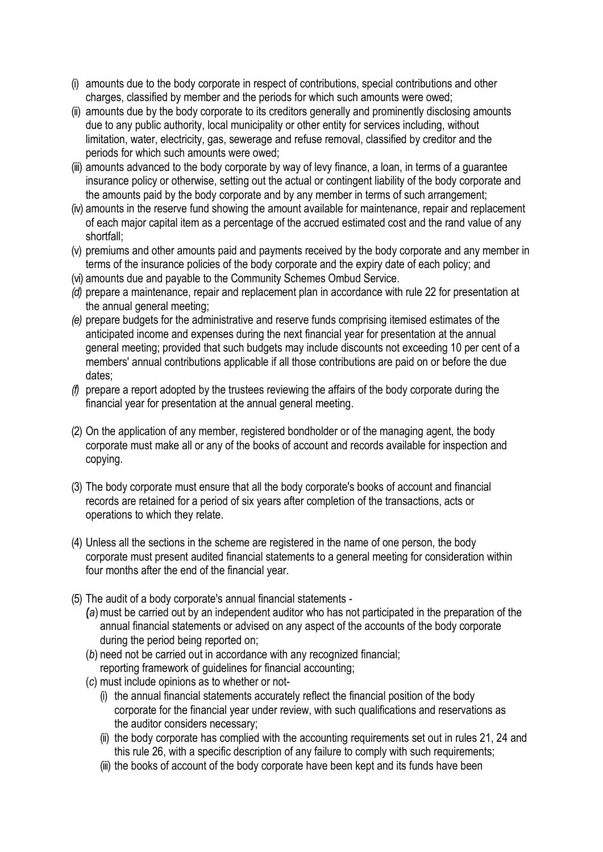- (i) amounts due to the body corporate in respect of contributions, special contributions and other charges, classified by member and the periods for which such amounts were owed;
- (ii) amounts due by the body corporate to its creditors generally and prominently disclosing amounts due to any public authority, local municipality or other entity for services including, without limitation, water, electricity, gas, sewerage and refuse removal, classified by creditor and the periods for which such amounts were owed;
- (iii) amounts advanced to the body corporate by way of levy finance, a loan, in terms of a guarantee insurance policy or otherwise, setting out the actual or contingent liability of the body corporate and the amounts paid by the body corporate and by any member in terms of such arrangement;
- (iv) amounts in the reserve fund showing the amount available for maintenance, repair and replacement of each major capital item as a percentage of the accrued estimated cost and the rand value of any shortfall;
- (v) premiums and other amounts paid and payments received by the body corporate and any member in terms of the insurance policies of the body corporate and the expiry date of each policy; and
- (vi) amounts due and payable to the Community Schemes Ombud Service.
- *(d)* prepare a maintenance, repair and replacement plan in accordance with rule 22 for presentation at the annual general meeting;
- *(e)* prepare budgets for the administrative and reserve funds comprising itemised estimates of the anticipated income and expenses during the next financial year for presentation at the annual general meeting; provided that such budgets may include discounts not exceeding 10 per cent of a members' annual contributions applicable if all those contributions are paid on or before the due dates;
- *(f)* prepare a report adopted by the trustees reviewing the affairs of the body corporate during the financial year for presentation at the annual general meeting.
- (2) On the application of any member, registered bondholder or of the managing agent, the body corporate must make all or any of the books of account and records available for inspection and copying.
- (3) The body corporate must ensure that all the body corporate's books of account and financial records are retained for a period of six years after completion of the transactions, acts or operations to which they relate.
- (4) Unless all the sections in the scheme are registered in the name of one person, the body corporate must present audited financial statements to a general meeting for consideration within four months after the end of the financial year.
- (5) The audit of a body corporate's annual financial statements
	- *(*(*a*)must be carried out by an independent auditor who has not participated in the preparation of the annual financial statements or advised on any aspect of the accounts of the body corporate during the period being reported on;
	- (*b*) need not be carried out in accordance with any recognized financial; reporting framework of guidelines for financial accounting;
	- (*c*) must include opinions as to whether or not-
		- (i) the annual financial statements accurately reflect the financial position of the body corporate for the financial year under review, with such qualifications and reservations as the auditor considers necessary;
		- (ii) the body corporate has complied with the accounting requirements set out in rules 21, 24 and this rule 26, with a specific description of any failure to comply with such requirements;
		- (iii) the books of account of the body corporate have been kept and its funds have been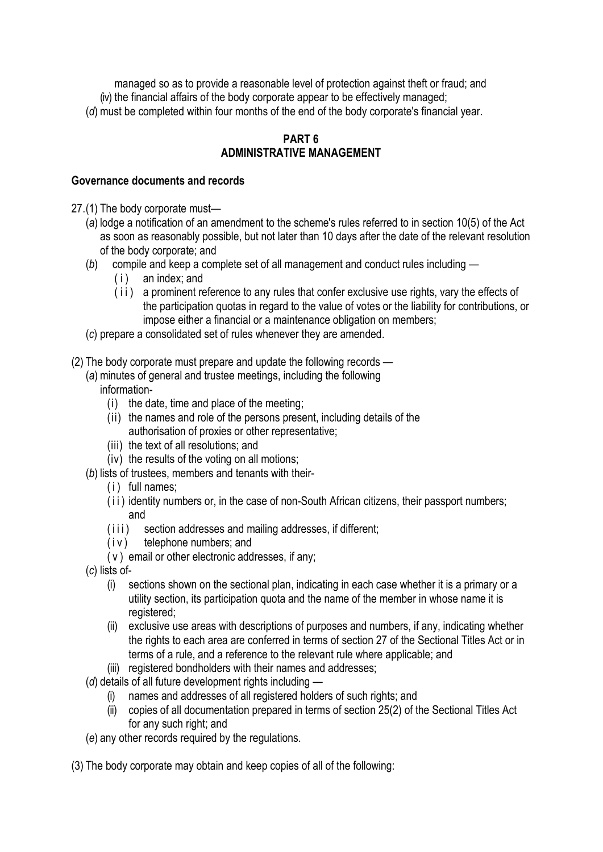managed so as to provide a reasonable level of protection against theft or fraud; and (iv) the financial affairs of the body corporate appear to be effectively managed;

# (*d*) must be completed within four months of the end of the body corporate's financial year.

#### **PART 6 ADMINISTRATIVE MANAGEMENT**

# **Governance documents and records**

- 27.(1) The body corporate must—
	- (*a*) lodge a notification of an amendment to the scheme's rules referred to in section 10(5) of the Act as soon as reasonably possible, but not later than 10 days after the date of the relevant resolution of the body corporate; and
	- (*b*) compile and keep a complete set of all management and conduct rules including
		- (i) an index; and
		- (ii) a prominent reference to any rules that confer exclusive use rights, vary the effects of the participation quotas in regard to the value of votes or the liability for contributions, or impose either a financial or a maintenance obligation on members;
	- (*c*) prepare a consolidated set of rules whenever they are amended.
- (2) The body corporate must prepare and update the following records
	- (*a*) minutes of general and trustee meetings, including the following information-
		- (i) the date, time and place of the meeting;
		- (ii) the names and role of the persons present, including details of the authorisation of proxies or other representative;
		- (iii) the text of all resolutions; and
		- (iv) the results of the voting on all motions;
	- (*b*) lists of trustees, members and tenants with their-
		- (i) full names;
		- (ii) identity numbers or, in the case of non-South African citizens, their passport numbers; and
		- (iii) section addresses and mailing addresses, if different;
		- (iv) telephone numbers; and
		- (v) email or other electronic addresses, if any;
	- (*c*) lists of-
		- (i) sections shown on the sectional plan, indicating in each case whether it is a primary or a utility section, its participation quota and the name of the member in whose name it is registered;
		- (ii) exclusive use areas with descriptions of purposes and numbers, if any, indicating whether the rights to each area are conferred in terms of section 27 of the Sectional Titles Act or in terms of a rule, and a reference to the relevant rule where applicable; and
		- (iii) registered bondholders with their names and addresses;
	- (*d*) details of all future development rights including
		- (i) names and addresses of all registered holders of such rights; and
		- (ii) copies of all documentation prepared in terms of section 25(2) of the Sectional Titles Act for any such right; and
	- (*e*) any other records required by the regulations.
- (3) The body corporate may obtain and keep copies of all of the following: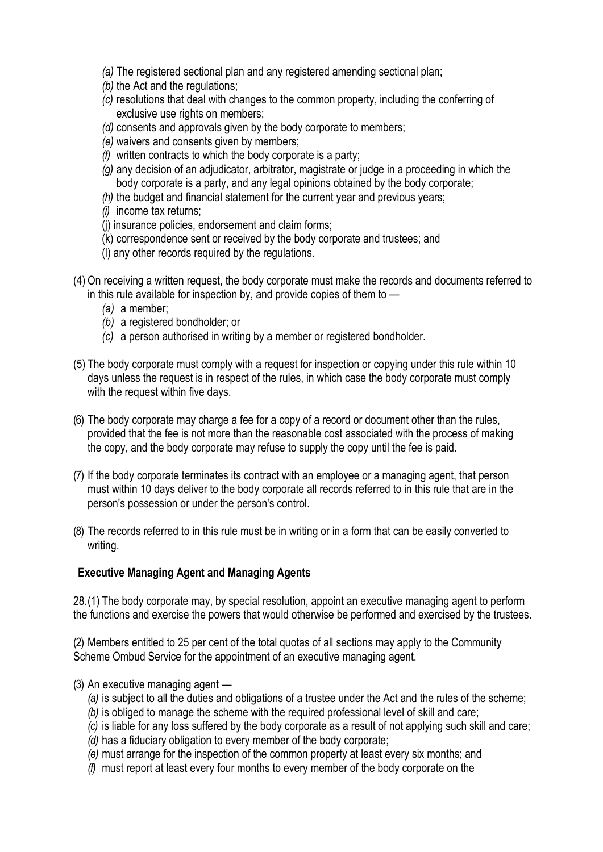- *(a)* The registered sectional plan and any registered amending sectional plan;
- *(b)* the Act and the regulations;
- *(c)* resolutions that deal with changes to the common property, including the conferring of exclusive use rights on members;
- *(d)* consents and approvals given by the body corporate to members;
- *(e)* waivers and consents given by members;
- *(f)* written contracts to which the body corporate is a party;
- *(g)* any decision of an adjudicator, arbitrator, magistrate or judge in a proceeding in which the body corporate is a party, and any legal opinions obtained by the body corporate;
- *(h)* the budget and financial statement for the current year and previous years;
- *(i)* income tax returns;
- (j) insurance policies, endorsement and claim forms;
- (k) correspondence sent or received by the body corporate and trustees; and
- (l) any other records required by the regulations.
- (4) On receiving a written request, the body corporate must make the records and documents referred to in this rule available for inspection by, and provide copies of them to —
	- *(a)* a member;
	- *(b)* a registered bondholder; or
	- *(c)* a person authorised in writing by a member or registered bondholder.
- (5) The body corporate must comply with a request for inspection or copying under this rule within 10 days unless the request is in respect of the rules, in which case the body corporate must comply with the request within five days.
- (6) The body corporate may charge a fee for a copy of a record or document other than the rules, provided that the fee is not more than the reasonable cost associated with the process of making the copy, and the body corporate may refuse to supply the copy until the fee is paid.
- (7) If the body corporate terminates its contract with an employee or a managing agent, that person must within 10 days deliver to the body corporate all records referred to in this rule that are in the person's possession or under the person's control.
- (8) The records referred to in this rule must be in writing or in a form that can be easily converted to writing.

# **Executive Managing Agent and Managing Agents**

28.(1) The body corporate may, by special resolution, appoint an executive managing agent to perform the functions and exercise the powers that would otherwise be performed and exercised by the trustees.

(2) Members entitled to 25 per cent of the total quotas of all sections may apply to the Community Scheme Ombud Service for the appointment of an executive managing agent.

- (3) An executive managing agent
	- *(a)* is subject to all the duties and obligations of a trustee under the Act and the rules of the scheme;
	- *(b)* is obliged to manage the scheme with the required professional level of skill and care;
	- *(c)* is liable for any loss suffered by the body corporate as a result of not applying such skill and care;
	- *(d)* has a fiduciary obligation to every member of the body corporate;
	- *(e)* must arrange for the inspection of the common property at least every six months; and
	- *(f)* must report at least every four months to every member of the body corporate on the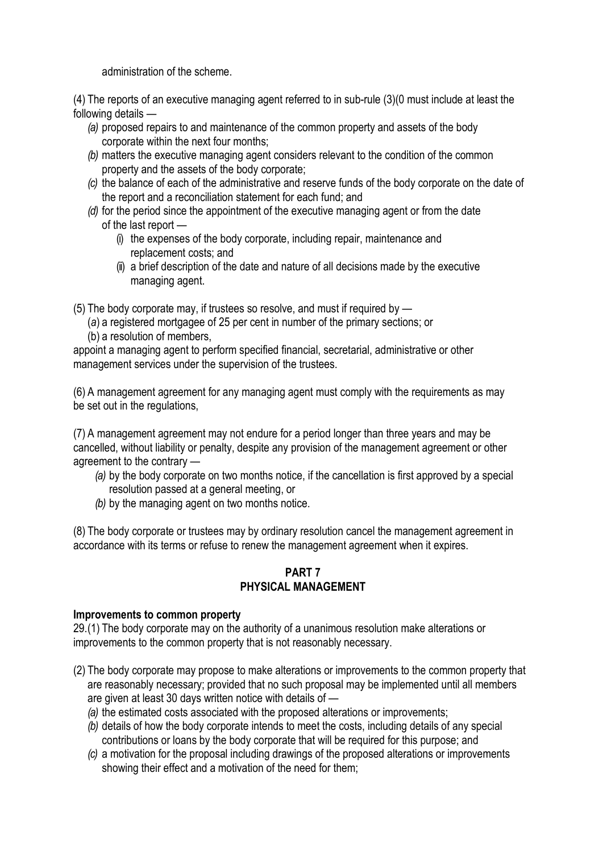administration of the scheme.

(4) The reports of an executive managing agent referred to in sub-rule (3)(0 must include at least the following details —

- *(a)* proposed repairs to and maintenance of the common property and assets of the body corporate within the next four months;
- *(b)* matters the executive managing agent considers relevant to the condition of the common property and the assets of the body corporate;
- *(c)* the balance of each of the administrative and reserve funds of the body corporate on the date of the report and a reconciliation statement for each fund; and
- *(d)* for the period since the appointment of the executive managing agent or from the date of the last report —
	- (i) the expenses of the body corporate, including repair, maintenance and replacement costs; and
	- (ii) a brief description of the date and nature of all decisions made by the executive managing agent.

(5) The body corporate may, if trustees so resolve, and must if required by —

(*a*) a registered mortgagee of 25 per cent in number of the primary sections; or (b) a resolution of members,

appoint a managing agent to perform specified financial, secretarial, administrative or other management services under the supervision of the trustees.

(6) A management agreement for any managing agent must comply with the requirements as may be set out in the regulations,

(7) A management agreement may not endure for a period longer than three years and may be cancelled, without liability or penalty, despite any provision of the management agreement or other agreement to the contrary —

- *(a)* by the body corporate on two months notice, if the cancellation is first approved by a special resolution passed at a general meeting, or
- *(b)* by the managing agent on two months notice.

(8) The body corporate or trustees may by ordinary resolution cancel the management agreement in accordance with its terms or refuse to renew the management agreement when it expires.

# **PART 7 PHYSICAL MANAGEMENT**

#### **Improvements to common property**

29.(1) The body corporate may on the authority of a unanimous resolution make alterations or improvements to the common property that is not reasonably necessary.

- (2) The body corporate may propose to make alterations or improvements to the common property that are reasonably necessary; provided that no such proposal may be implemented until all members are given at least 30 days written notice with details of —
	- *(a)* the estimated costs associated with the proposed alterations or improvements;
	- *(b)* details of how the body corporate intends to meet the costs, including details of any special contributions or loans by the body corporate that will be required for this purpose; and
	- *(c)* a motivation for the proposal including drawings of the proposed alterations or improvements showing their effect and a motivation of the need for them;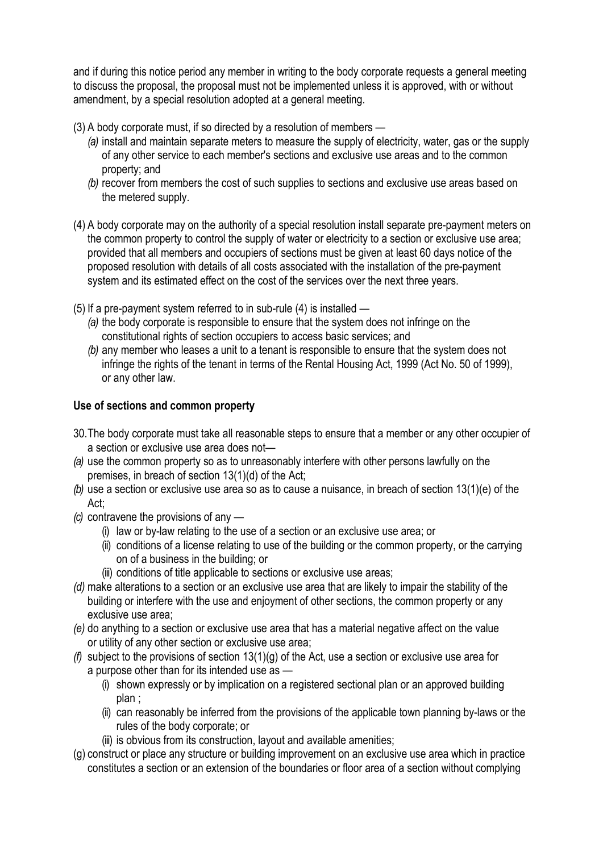and if during this notice period any member in writing to the body corporate requests a general meeting to discuss the proposal, the proposal must not be implemented unless it is approved, with or without amendment, by a special resolution adopted at a general meeting.

- (3) A body corporate must, if so directed by a resolution of members
	- *(a)* install and maintain separate meters to measure the supply of electricity, water, gas or the supply of any other service to each member's sections and exclusive use areas and to the common property; and
	- *(b)* recover from members the cost of such supplies to sections and exclusive use areas based on the metered supply.
- (4) A body corporate may on the authority of a special resolution install separate pre-payment meters on the common property to control the supply of water or electricity to a section or exclusive use area; provided that all members and occupiers of sections must be given at least 60 days notice of the proposed resolution with details of all costs associated with the installation of the pre-payment system and its estimated effect on the cost of the services over the next three years.
- (5) If a pre-payment system referred to in sub-rule (4) is installed
	- *(a)* the body corporate is responsible to ensure that the system does not infringe on the constitutional rights of section occupiers to access basic services; and
	- *(b)* any member who leases a unit to a tenant is responsible to ensure that the system does not infringe the rights of the tenant in terms of the Rental Housing Act, 1999 (Act No. 50 of 1999), or any other law.

# **Use of sections and common property**

- 30.The body corporate must take all reasonable steps to ensure that a member or any other occupier of a section or exclusive use area does not—
- *(a)* use the common property so as to unreasonably interfere with other persons lawfully on the premises, in breach of section 13(1)(d) of the Act;
- *(b)* use a section or exclusive use area so as to cause a nuisance, in breach of section 13(1)(e) of the Act;
- *(c)* contravene the provisions of any
	- (i) law or by-law relating to the use of a section or an exclusive use area; or
	- (ii) conditions of a license relating to use of the building or the common property, or the carrying on of a business in the building; or
	- (iii) conditions of title applicable to sections or exclusive use areas;
- *(d)* make alterations to a section or an exclusive use area that are likely to impair the stability of the building or interfere with the use and enjoyment of other sections, the common property or any exclusive use area;
- *(e)* do anything to a section or exclusive use area that has a material negative affect on the value or utility of any other section or exclusive use area;
- *(f)* subject to the provisions of section 13(1)(g) of the Act, use a section or exclusive use area for a purpose other than for its intended use as —
	- (i) shown expressly or by implication on a registered sectional plan or an approved building plan ;
	- (ii) can reasonably be inferred from the provisions of the applicable town planning by-laws or the rules of the body corporate; or
	- (iii) is obvious from its construction, layout and available amenities;
- (g) construct or place any structure or building improvement on an exclusive use area which in practice constitutes a section or an extension of the boundaries or floor area of a section without complying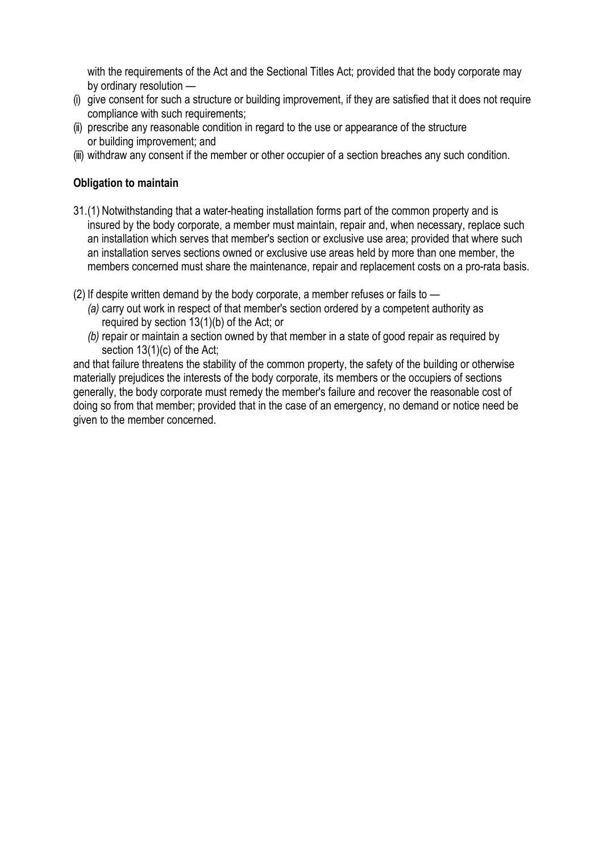with the requirements of the Act and the Sectional Titles Act; provided that the body corporate may by ordinary resolution —

- (i) give consent for such a structure or building improvement, if they are satisfied that it does not require compliance with such requirements;
- (ii) prescribe any reasonable condition in regard to the use or appearance of the structure or building improvement; and
- (iii) withdraw any consent if the member or other occupier of a section breaches any such condition.

# **Obligation to maintain**

- 31.(1) Notwithstanding that a water-heating installation forms part of the common property and is insured by the body corporate, a member must maintain, repair and, when necessary, replace such an installation which serves that member's section or exclusive use area; provided that where such an installation serves sections owned or exclusive use areas held by more than one member, the members concerned must share the maintenance, repair and replacement costs on a pro-rata basis.
- (2) If despite written demand by the body corporate, a member refuses or fails to
	- *(a)* carry out work in respect of that member's section ordered by a competent authority as required by section 13(1)(b) of the Act; or
	- *(b)* repair or maintain a section owned by that member in a state of good repair as required by section 13(1)(c) of the Act;

and that failure threatens the stability of the common property, the safety of the building or otherwise materially prejudices the interests of the body corporate, its members or the occupiers of sections generally, the body corporate must remedy the member's failure and recover the reasonable cost of doing so from that member; provided that in the case of an emergency, no demand or notice need be given to the member concerned.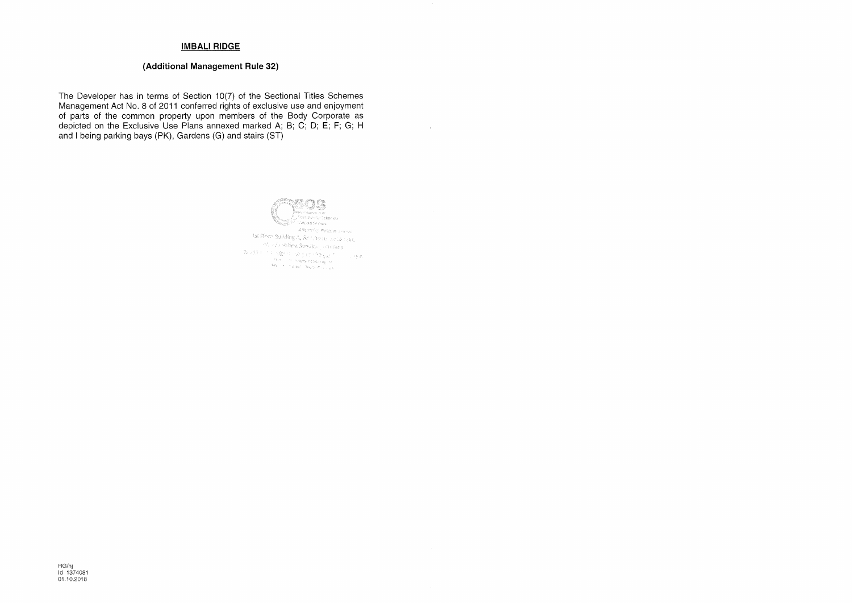# **IMBALI RIDGE**

# (Additional Management Rule 32)

The Developer has in terms of Section 10(7) of the Sectional Titles Schemes Management Act No. 8 of 2011 conferred rights of exclusive use and enjoyment of parts of the common property upon members of the Body Corporate as depicted on the Exclusive Use Plans annexed marked A; B; C; D; E; F; G; H and I being parking bays (PK), Gardens (G) and stairs (ST)



 $\sim$   $\rm{e}^{-}$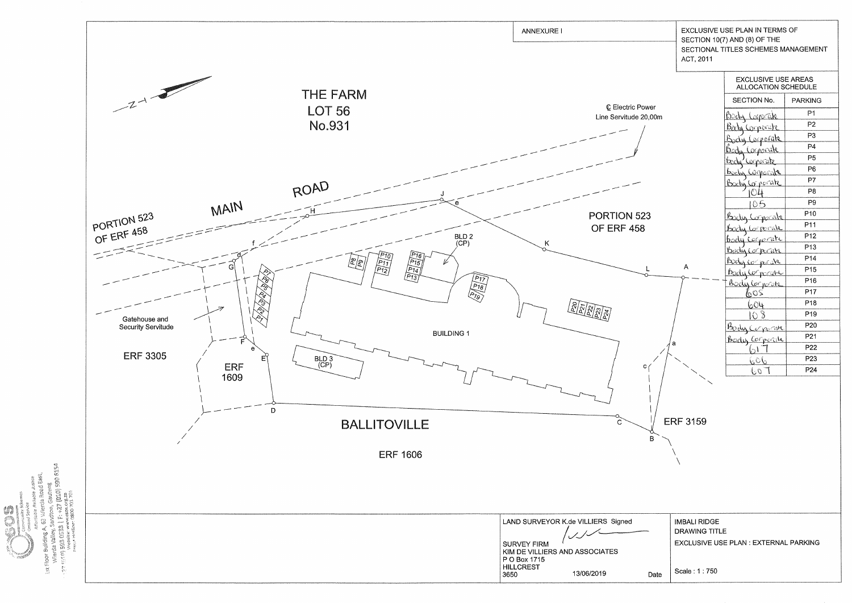

**20 6154** e<br>Ga v.csos.org.za<br>0800 701 701 **College** www.ragester.com<br>| SSEO SGE (a) kin &&<br>| SSEO SGE (a) kin && Let Floor

|              | ACT, 2011                                   | EXCLUSIVE USE PLAN IN TERMS OF<br>SECTION 10(7) AND (8) OF THE<br>SECTIONAL TITLES SCHEMES MANAGEMENT |                 |  |
|--------------|---------------------------------------------|-------------------------------------------------------------------------------------------------------|-----------------|--|
|              |                                             | <b>EXCLUSIVE USE AREAS</b><br><b>ALLOCATION SCHEDULE</b>                                              |                 |  |
|              |                                             | SECTION No.                                                                                           | <b>PARKING</b>  |  |
| wer          |                                             | <u>Body Lorpeak</u>                                                                                   | P <sub>1</sub>  |  |
| 0,00m<br>ľ   |                                             | <u>Bahy Corporate</u>                                                                                 | P <sub>2</sub>  |  |
|              |                                             | Body Corporate                                                                                        | P <sub>3</sub>  |  |
|              |                                             | orporale                                                                                              | P4              |  |
|              |                                             | bedw                                                                                                  | P5              |  |
|              |                                             | سكتكأ<br>Wros<br><u>Bodin Comorate</u>                                                                | P <sub>6</sub>  |  |
|              |                                             | Body Corporate                                                                                        | P7              |  |
|              |                                             |                                                                                                       | P8              |  |
|              |                                             |                                                                                                       | P <sub>9</sub>  |  |
| 23           |                                             | Bady Corporate                                                                                        | P <sub>10</sub> |  |
|              |                                             |                                                                                                       | P11             |  |
|              |                                             | body Corporate<br>body cornerate                                                                      | P <sub>12</sub> |  |
|              |                                             | <u>Bodú (or</u>                                                                                       | P <sub>13</sub> |  |
|              |                                             | <u>rahe</u><br><u>Body comparate</u>                                                                  | P <sub>14</sub> |  |
| $\mathsf{L}$ | Α                                           | <u>Body (</u>                                                                                         | P <sub>15</sub> |  |
| ৩            |                                             | <u>vencate</u><br><u>Body Comporate</u>                                                               | P <sub>16</sub> |  |
|              |                                             | 605                                                                                                   | P17             |  |
|              |                                             | 604                                                                                                   | P <sub>18</sub> |  |
|              |                                             |                                                                                                       | P <sub>19</sub> |  |
|              |                                             | Body Corporate                                                                                        | P <sub>20</sub> |  |
|              |                                             | Bodis Corporite                                                                                       | P21             |  |
|              | а                                           |                                                                                                       | P <sub>22</sub> |  |
|              |                                             | ರಿಂ                                                                                                   | P23             |  |
| с            |                                             | 60                                                                                                    | P24             |  |
| В            | <b>ERF 3159</b>                             |                                                                                                       |                 |  |
|              | <b>IMBALI RIDGE</b><br><b>DRAWING TITLE</b> |                                                                                                       |                 |  |
|              |                                             | EXCLUSIVE USE PLAN : EXTERNAL PARKING                                                                 |                 |  |
| Date         | Scale: 1:750                                |                                                                                                       |                 |  |
|              |                                             |                                                                                                       |                 |  |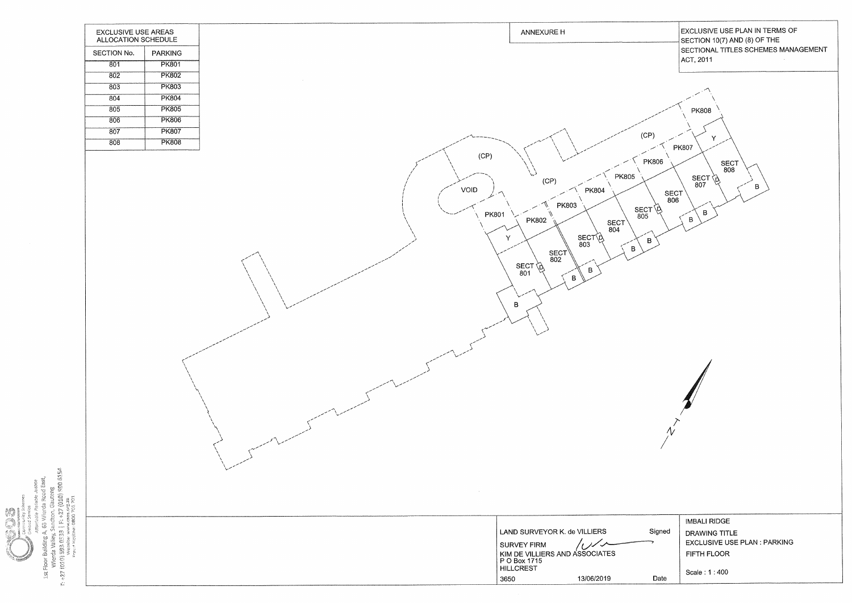|                                                                                                                             | <b>EXCLUSIVE USE AREAS</b><br>ALLOCATION SCHEDULE |                |        |                              | <b>ANNEXURE H</b>                                                                                                                                                                                                                                   |
|-----------------------------------------------------------------------------------------------------------------------------|---------------------------------------------------|----------------|--------|------------------------------|-----------------------------------------------------------------------------------------------------------------------------------------------------------------------------------------------------------------------------------------------------|
|                                                                                                                             | SECTION No.                                       | <b>PARKING</b> |        |                              |                                                                                                                                                                                                                                                     |
|                                                                                                                             | $\overline{801}$                                  | <b>PK801</b>   |        |                              |                                                                                                                                                                                                                                                     |
|                                                                                                                             | $\overline{802}$                                  | <b>PK802</b>   |        |                              |                                                                                                                                                                                                                                                     |
|                                                                                                                             | 803                                               | <b>PK803</b>   | $\sim$ |                              |                                                                                                                                                                                                                                                     |
|                                                                                                                             | 804                                               | <b>PK804</b>   |        |                              |                                                                                                                                                                                                                                                     |
|                                                                                                                             | 805                                               | <b>PK805</b>   |        |                              |                                                                                                                                                                                                                                                     |
|                                                                                                                             | 806                                               | <b>PK806</b>   |        |                              |                                                                                                                                                                                                                                                     |
|                                                                                                                             | 807                                               | <b>PK807</b>   |        |                              | $\overline{C}$                                                                                                                                                                                                                                      |
|                                                                                                                             | $\overline{808}$                                  | <b>PK808</b>   |        |                              |                                                                                                                                                                                                                                                     |
| $\sim 0.1$<br>Sandton, Gauteng<br>3   F: +27 (010) 590 6154<br>1st Floor Building A, 63 Wierda Road East,<br>liable Justice |                                                   |                |        | (CP)<br>VOID<br><b>PK801</b> | <b>PK805</b><br>(CP)<br><b>PK804</b><br><b>PK803</b><br>SEC<br>805<br>₩<br><b>PK802</b><br><b>SECT</b><br>804<br>$rac{\text{SECT}}{803}$<br>Y<br>$\overline{B}$<br>$rac{\text{SECT}}{802}$<br>$SECT \overrightarrow{O}$<br>B<br>801<br>B<br>$\sf B$ |
| ww.csos.org.za<br>e: 0800 701 701<br>ै।<br>ल<br>്റ്<br>Ţ<br>53<br>C.                                                        |                                                   |                |        |                              | LAND SURVEYOR K. de VILLIERS                                                                                                                                                                                                                        |
| () Samisok <sub>Piter</sub> ia<br>* 4   85.50 885 10.01 <i>Li</i> z* は<br>website: www.                                     |                                                   |                |        |                              |                                                                                                                                                                                                                                                     |
|                                                                                                                             |                                                   |                |        |                              |                                                                                                                                                                                                                                                     |
|                                                                                                                             |                                                   |                |        |                              |                                                                                                                                                                                                                                                     |
|                                                                                                                             |                                                   |                |        |                              | 13/06/2019<br>3650                                                                                                                                                                                                                                  |
|                                                                                                                             |                                                   |                |        |                              |                                                                                                                                                                                                                                                     |

|                                                                  | EXCLUSIVE USE PLAN IN TERMS OF<br>SECTION 10(7) AND (8) OF THE<br>SECTIONAL TITLES SCHEMES MANAGEMENT<br>ACT, 2011 |
|------------------------------------------------------------------|--------------------------------------------------------------------------------------------------------------------|
| CP)<br><b>PK806</b><br><b>SECT</b><br>806<br>CT<br>)5<br>ιD<br>B | <b>PK808</b><br>Ý<br><b>PK807</b><br>SECT<br>808<br>SECT<br>807<br>B<br>B<br>$\mathsf B$                           |



|        | IMBALI RIDGE                       |
|--------|------------------------------------|
| Signed | DRAWING TITLE                      |
|        | <b>EXCLUSIVE USE PLAN: PARKING</b> |
|        | FIFTH FLOOR                        |
| Date   | Scale: 1:400                       |
|        |                                    |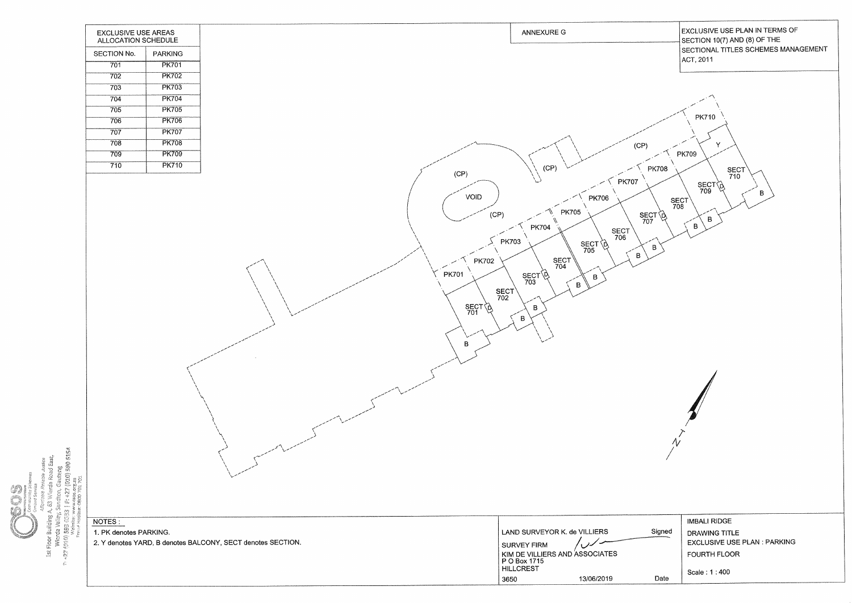

Wierda Valley, Scholars valley, Sandron, Garden, 2013<br>- 427 (910) SBS (1733 | F. 427 (010)<br>- 427 (910) SBS (1733 | F. 427 (010)<br>- Francisco valley, Sandron, 2013 63 Wierda Ŵ Ist Floor Building A, ن<br>منابع

# EXCLUSIVE USE PLAN IN TERMS OF SECTION 10(7) AND (8) OF THE SECTIONAL TITLES SCHEMES MANAGEMENT

|        | <b>IMBALI RIDGE</b>                |
|--------|------------------------------------|
| Signed | <b>DRAWING TITLE</b>               |
|        | <b>EXCLUSIVE USE PLAN: PARKING</b> |
|        | <b>FOURTH FLOOR</b>                |
|        |                                    |
| Date   | Scale: 1:400                       |
|        |                                    |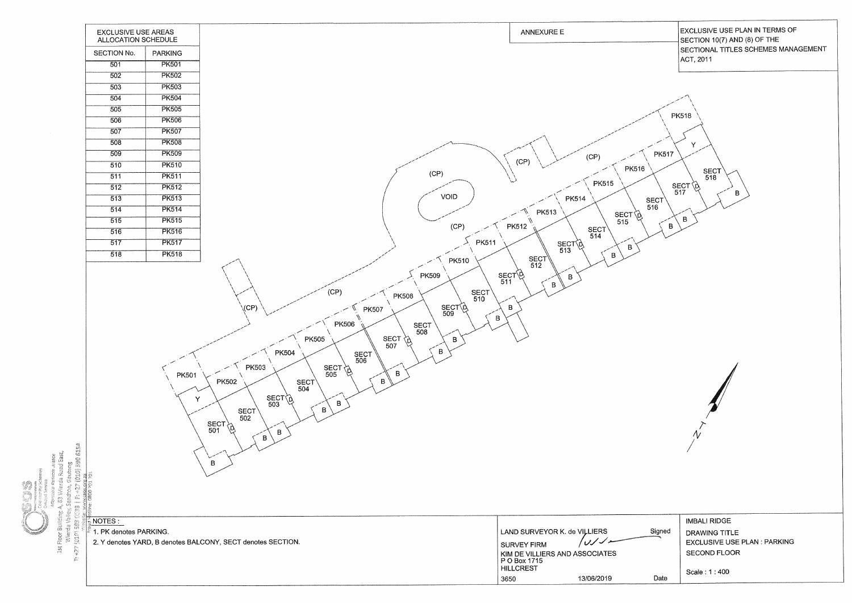

Í

# **EXCLUSIVE USE PLAN IN TERMS OF** SECTION 10(7) AND (8) OF THE SECTIONAL TITLES SCHEMES MANAGEMENT

|                             | IMBALI RIDGE                       |
|-----------------------------|------------------------------------|
| Signed<br><b>MANAGEMENT</b> | <b>DRAWING TITLE</b>               |
|                             | <b>EXCLUSIVE USE PLAN: PARKING</b> |
|                             | <b>SECOND FLOOR</b>                |
|                             |                                    |
| Date                        | Scale: 1:400                       |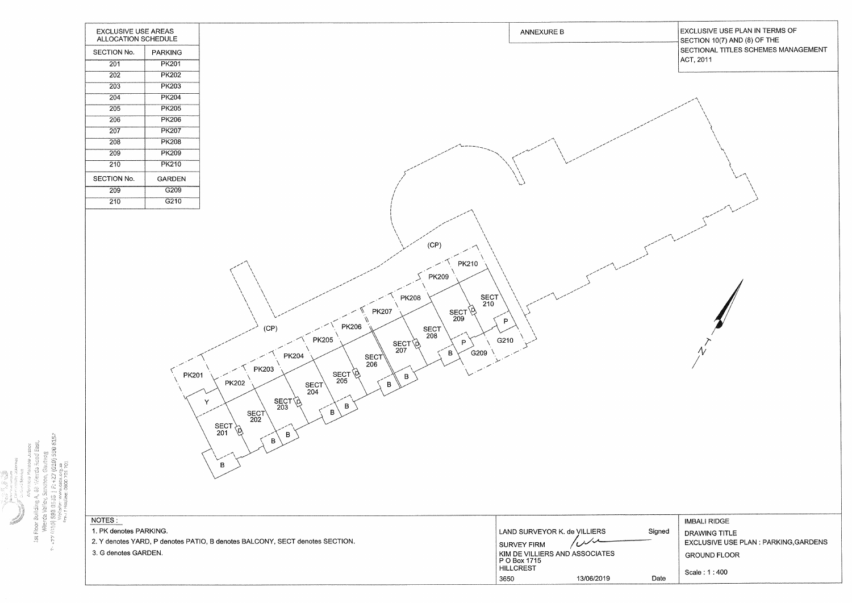

 $(7.770330851)$ ig<br>P ast Floor Building A, bs المؤجود به Werda Valley, Sanch -<br>Werda Valley, Sanch -<br>- بعض نقل الله الله الله الله الله عليه الله عليه الله الله الله عليه الله الله عليه الله الله عليه الله الله<br>- wew - were the control of the

13/06/2019

3650

# **EXCLUSIVE USE PLAN IN TERMS OF** SECTION 10(7) AND (8) OF THE SECTIONAL TITLES SCHEMES MANAGEMENT ACT, 2011  $\Lambda$ /

|        | IMBALI RIDGE                          |
|--------|---------------------------------------|
| Signed | DRAWING TITLE                         |
|        | EXCLUSIVE USE PLAN : PARKING, GARDENS |
|        | <b>GROUND FLOOR</b>                   |
| Date   | Scale: 1:400                          |
|        |                                       |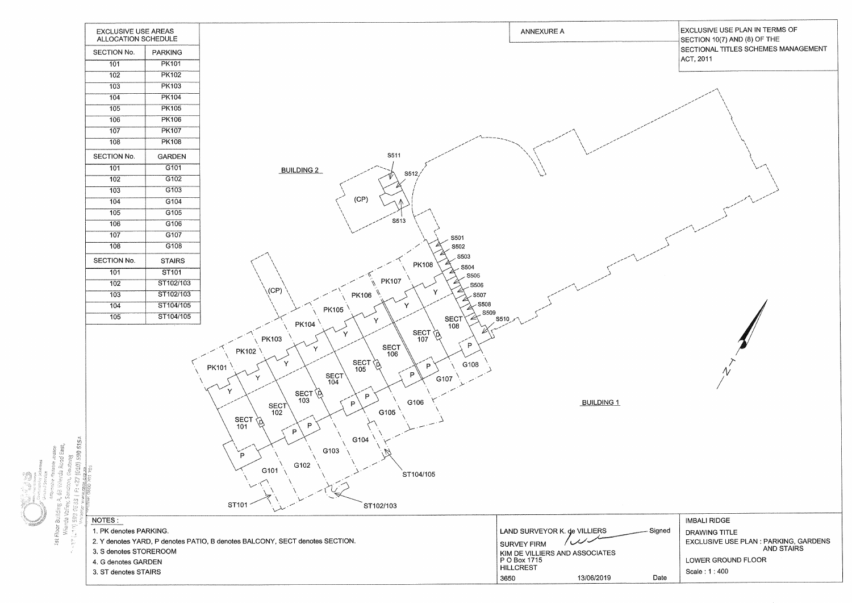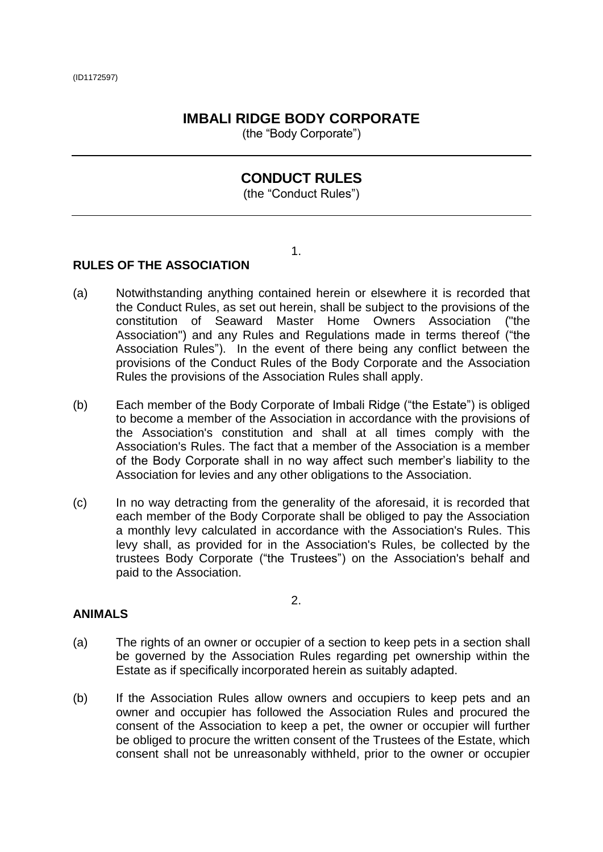# <span id="page-32-0"></span>**IMBALI RIDGE BODY CORPORATE**

(the "Body Corporate")

# **CONDUCT RULES**

(the "Conduct Rules")

1.

# **RULES OF THE ASSOCIATION**

- (a) Notwithstanding anything contained herein or elsewhere it is recorded that the Conduct Rules, as set out herein, shall be subject to the provisions of the constitution of Seaward Master Home Owners Association ("the Association") and any Rules and Regulations made in terms thereof ("the Association Rules"). In the event of there being any conflict between the provisions of the Conduct Rules of the Body Corporate and the Association Rules the provisions of the Association Rules shall apply.
- (b) Each member of the Body Corporate of Imbali Ridge ("the Estate") is obliged to become a member of the Association in accordance with the provisions of the Association's constitution and shall at all times comply with the Association's Rules. The fact that a member of the Association is a member of the Body Corporate shall in no way affect such member's liability to the Association for levies and any other obligations to the Association.
- (c) In no way detracting from the generality of the aforesaid, it is recorded that each member of the Body Corporate shall be obliged to pay the Association a monthly levy calculated in accordance with the Association's Rules. This levy shall, as provided for in the Association's Rules, be collected by the trustees Body Corporate ("the Trustees") on the Association's behalf and paid to the Association.

#### **ANIMALS**

(a) The rights of an owner or occupier of a section to keep pets in a section shall be governed by the Association Rules regarding pet ownership within the Estate as if specifically incorporated herein as suitably adapted.

2.

(b) If the Association Rules allow owners and occupiers to keep pets and an owner and occupier has followed the Association Rules and procured the consent of the Association to keep a pet, the owner or occupier will further be obliged to procure the written consent of the Trustees of the Estate, which consent shall not be unreasonably withheld, prior to the owner or occupier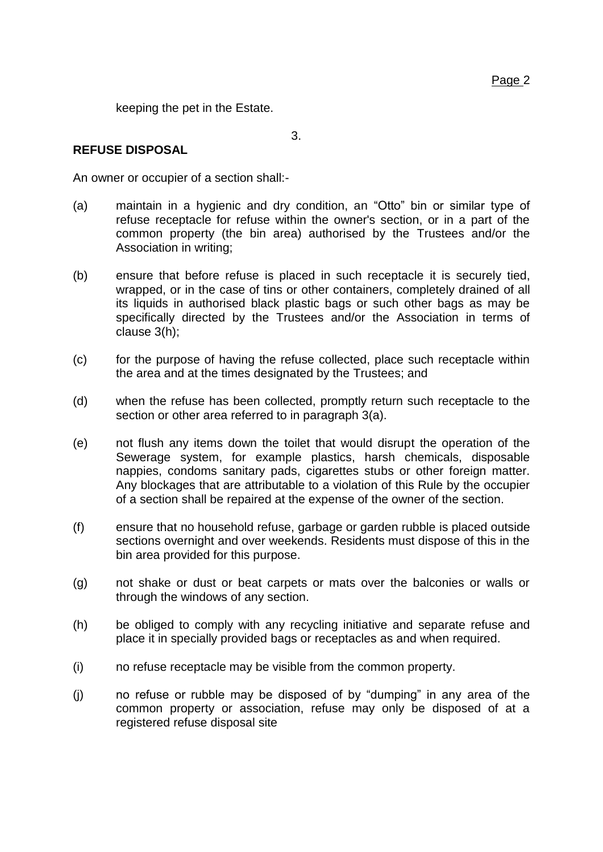<span id="page-33-1"></span>keeping the pet in the Estate.

# **REFUSE DISPOSAL**

An owner or occupier of a section shall:-

- <span id="page-33-0"></span>(a) maintain in a hygienic and dry condition, an "Otto" bin or similar type of refuse receptacle for refuse within the owner's section, or in a part of the common property (the bin area) authorised by the Trustees and/or the Association in writing;
- (b) ensure that before refuse is placed in such receptacle it is securely tied, wrapped, or in the case of tins or other containers, completely drained of all its liquids in authorised black plastic bags or such other bags as may be specifically directed by the Trustees and/or the Association in terms of clause 3(h);
- (c) for the purpose of having the refuse collected, place such receptacle within the area and at the times designated by the Trustees; and
- (d) when the refuse has been collected, promptly return such receptacle to the section or other area referred to in paragraph [3](#page-32-0)[\(a\).](#page-33-0)
- (e) not flush any items down the toilet that would disrupt the operation of the Sewerage system, for example plastics, harsh chemicals, disposable nappies, condoms sanitary pads, cigarettes stubs or other foreign matter. Any blockages that are attributable to a violation of this Rule by the occupier of a section shall be repaired at the expense of the owner of the section.
- (f) ensure that no household refuse, garbage or garden rubble is placed outside sections overnight and over weekends. Residents must dispose of this in the bin area provided for this purpose.
- (g) not shake or dust or beat carpets or mats over the balconies or walls or through the windows of any section.
- (h) be obliged to comply with any recycling initiative and separate refuse and place it in specially provided bags or receptacles as and when required.
- (i) no refuse receptacle may be visible from the common property.
- (j) no refuse or rubble may be disposed of by "dumping" in any area of the common property or association, refuse may only be disposed of at a registered refuse disposal site

3.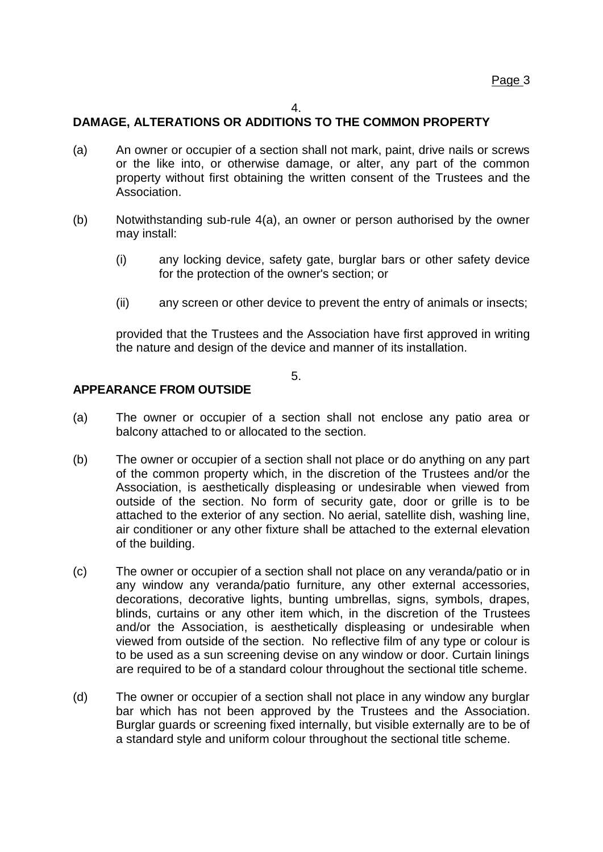#### 4.

# **DAMAGE, ALTERATIONS OR ADDITIONS TO THE COMMON PROPERTY**

- (a) An owner or occupier of a section shall not mark, paint, drive nails or screws or the like into, or otherwise damage, or alter, any part of the common property without first obtaining the written consent of the Trustees and the Association.
- (b) Notwithstanding sub-rule [4\(a\),](#page-33-1) an owner or person authorised by the owner may install:
	- (i) any locking device, safety gate, burglar bars or other safety device for the protection of the owner's section; or
	- (ii) any screen or other device to prevent the entry of animals or insects;

provided that the Trustees and the Association have first approved in writing the nature and design of the device and manner of its installation.

#### 5.

# **APPEARANCE FROM OUTSIDE**

- (a) The owner or occupier of a section shall not enclose any patio area or balcony attached to or allocated to the section.
- (b) The owner or occupier of a section shall not place or do anything on any part of the common property which, in the discretion of the Trustees and/or the Association, is aesthetically displeasing or undesirable when viewed from outside of the section. No form of security gate, door or grille is to be attached to the exterior of any section. No aerial, satellite dish, washing line, air conditioner or any other fixture shall be attached to the external elevation of the building.
- (c) The owner or occupier of a section shall not place on any veranda/patio or in any window any veranda/patio furniture, any other external accessories, decorations, decorative lights, bunting umbrellas, signs, symbols, drapes, blinds, curtains or any other item which, in the discretion of the Trustees and/or the Association, is aesthetically displeasing or undesirable when viewed from outside of the section. No reflective film of any type or colour is to be used as a sun screening devise on any window or door. Curtain linings are required to be of a standard colour throughout the sectional title scheme.
- (d) The owner or occupier of a section shall not place in any window any burglar bar which has not been approved by the Trustees and the Association. Burglar guards or screening fixed internally, but visible externally are to be of a standard style and uniform colour throughout the sectional title scheme.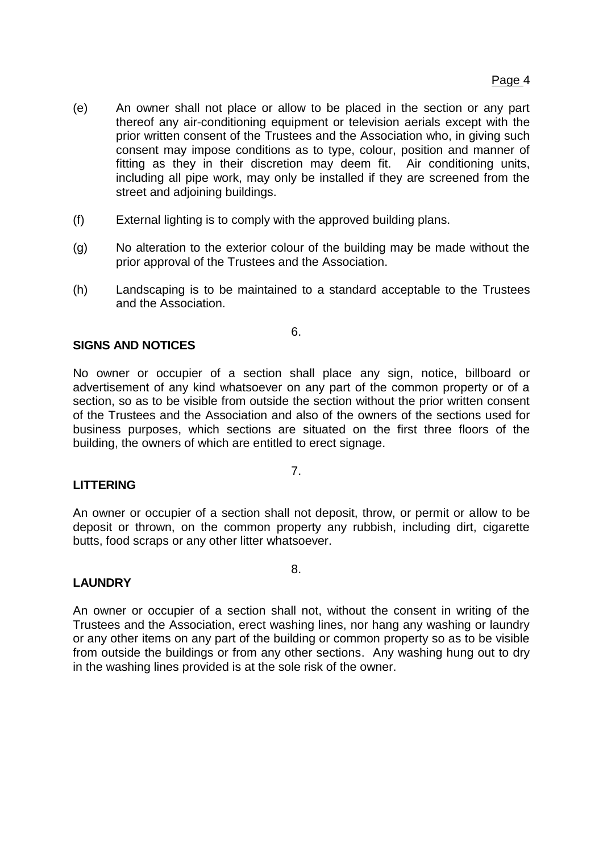- (e) An owner shall not place or allow to be placed in the section or any part thereof any air-conditioning equipment or television aerials except with the prior written consent of the Trustees and the Association who, in giving such consent may impose conditions as to type, colour, position and manner of fitting as they in their discretion may deem fit. Air conditioning units, including all pipe work, may only be installed if they are screened from the street and adjoining buildings.
- (f) External lighting is to comply with the approved building plans.
- (g) No alteration to the exterior colour of the building may be made without the prior approval of the Trustees and the Association.
- (h) Landscaping is to be maintained to a standard acceptable to the Trustees and the Association.

6.

# **SIGNS AND NOTICES**

No owner or occupier of a section shall place any sign, notice, billboard or advertisement of any kind whatsoever on any part of the common property or of a section, so as to be visible from outside the section without the prior written consent of the Trustees and the Association and also of the owners of the sections used for business purposes, which sections are situated on the first three floors of the building, the owners of which are entitled to erect signage.

# **LITTERING**

An owner or occupier of a section shall not deposit, throw, or permit or allow to be deposit or thrown, on the common property any rubbish, including dirt, cigarette butts, food scraps or any other litter whatsoever.

8.

7.

# **LAUNDRY**

An owner or occupier of a section shall not, without the consent in writing of the Trustees and the Association, erect washing lines, nor hang any washing or laundry or any other items on any part of the building or common property so as to be visible from outside the buildings or from any other sections. Any washing hung out to dry in the washing lines provided is at the sole risk of the owner.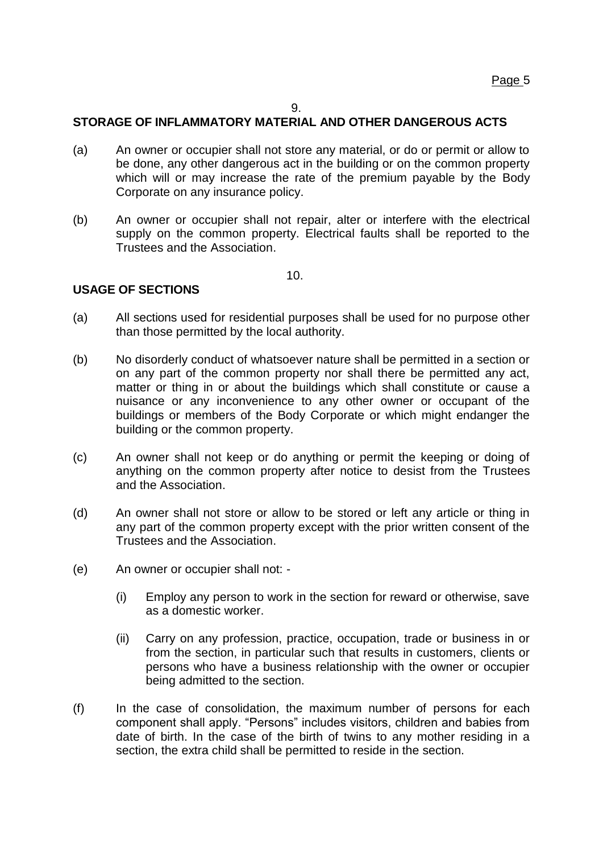# **STORAGE OF INFLAMMATORY MATERIAL AND OTHER DANGEROUS ACTS**

- (a) An owner or occupier shall not store any material, or do or permit or allow to be done, any other dangerous act in the building or on the common property which will or may increase the rate of the premium payable by the Body Corporate on any insurance policy.
- (b) An owner or occupier shall not repair, alter or interfere with the electrical supply on the common property. Electrical faults shall be reported to the Trustees and the Association.

10.

# **USAGE OF SECTIONS**

- (a) All sections used for residential purposes shall be used for no purpose other than those permitted by the local authority.
- (b) No disorderly conduct of whatsoever nature shall be permitted in a section or on any part of the common property nor shall there be permitted any act, matter or thing in or about the buildings which shall constitute or cause a nuisance or any inconvenience to any other owner or occupant of the buildings or members of the Body Corporate or which might endanger the building or the common property.
- (c) An owner shall not keep or do anything or permit the keeping or doing of anything on the common property after notice to desist from the Trustees and the Association.
- (d) An owner shall not store or allow to be stored or left any article or thing in any part of the common property except with the prior written consent of the Trustees and the Association.
- (e) An owner or occupier shall not:
	- (i) Employ any person to work in the section for reward or otherwise, save as a domestic worker.
	- (ii) Carry on any profession, practice, occupation, trade or business in or from the section, in particular such that results in customers, clients or persons who have a business relationship with the owner or occupier being admitted to the section.
- (f) In the case of consolidation, the maximum number of persons for each component shall apply. "Persons" includes visitors, children and babies from date of birth. In the case of the birth of twins to any mother residing in a section, the extra child shall be permitted to reside in the section.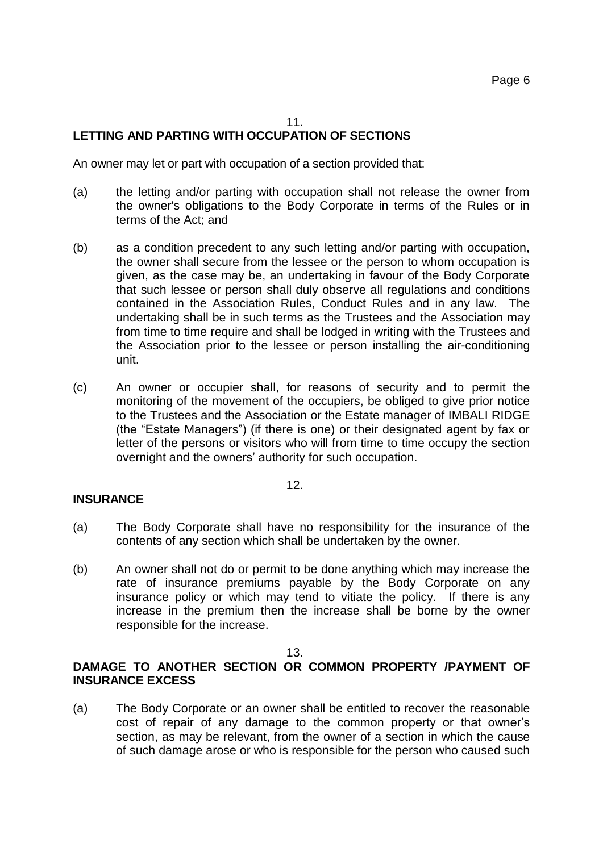#### 11.

# **LETTING AND PARTING WITH OCCUPATION OF SECTIONS**

An owner may let or part with occupation of a section provided that:

- (a) the letting and/or parting with occupation shall not release the owner from the owner's obligations to the Body Corporate in terms of the Rules or in terms of the Act; and
- (b) as a condition precedent to any such letting and/or parting with occupation, the owner shall secure from the lessee or the person to whom occupation is given, as the case may be, an undertaking in favour of the Body Corporate that such lessee or person shall duly observe all regulations and conditions contained in the Association Rules, Conduct Rules and in any law. The undertaking shall be in such terms as the Trustees and the Association may from time to time require and shall be lodged in writing with the Trustees and the Association prior to the lessee or person installing the air-conditioning unit.
- (c) An owner or occupier shall, for reasons of security and to permit the monitoring of the movement of the occupiers, be obliged to give prior notice to the Trustees and the Association or the Estate manager of IMBALI RIDGE (the "Estate Managers") (if there is one) or their designated agent by fax or letter of the persons or visitors who will from time to time occupy the section overnight and the owners' authority for such occupation.

#### 12.

#### **INSURANCE**

- (a) The Body Corporate shall have no responsibility for the insurance of the contents of any section which shall be undertaken by the owner.
- (b) An owner shall not do or permit to be done anything which may increase the rate of insurance premiums payable by the Body Corporate on any insurance policy or which may tend to vitiate the policy. If there is any increase in the premium then the increase shall be borne by the owner responsible for the increase.

#### 13.

# **DAMAGE TO ANOTHER SECTION OR COMMON PROPERTY /PAYMENT OF INSURANCE EXCESS**

(a) The Body Corporate or an owner shall be entitled to recover the reasonable cost of repair of any damage to the common property or that owner's section, as may be relevant, from the owner of a section in which the cause of such damage arose or who is responsible for the person who caused such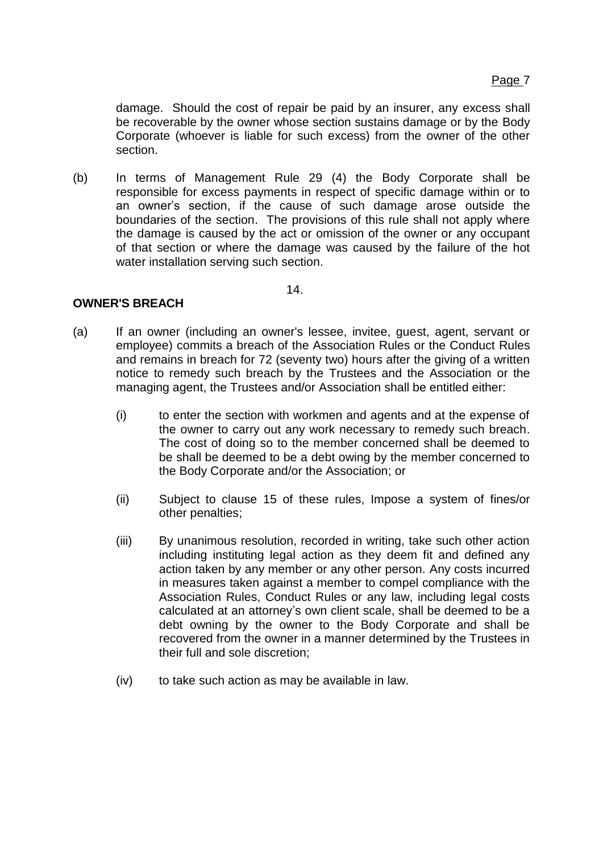<span id="page-38-0"></span>damage. Should the cost of repair be paid by an insurer, any excess shall be recoverable by the owner whose section sustains damage or by the Body Corporate (whoever is liable for such excess) from the owner of the other section.

(b) In terms of Management Rule 29 (4) the Body Corporate shall be responsible for excess payments in respect of specific damage within or to an owner's section, if the cause of such damage arose outside the boundaries of the section. The provisions of this rule shall not apply where the damage is caused by the act or omission of the owner or any occupant of that section or where the damage was caused by the failure of the hot water installation serving such section.

14.

# <span id="page-38-1"></span>**OWNER'S BREACH**

- (a) If an owner (including an owner's lessee, invitee, guest, agent, servant or employee) commits a breach of the Association Rules or the Conduct Rules and remains in breach for 72 (seventy two) hours after the giving of a written notice to remedy such breach by the Trustees and the Association or the managing agent, the Trustees and/or Association shall be entitled either:
	- (i) to enter the section with workmen and agents and at the expense of the owner to carry out any work necessary to remedy such breach. The cost of doing so to the member concerned shall be deemed to be shall be deemed to be a debt owing by the member concerned to the Body Corporate and/or the Association; or
	- (ii) Subject to clause [15](#page-38-0) of these rules, Impose a system of fines/or other penalties;
	- (iii) By unanimous resolution, recorded in writing, take such other action including instituting legal action as they deem fit and defined any action taken by any member or any other person. Any costs incurred in measures taken against a member to compel compliance with the Association Rules, Conduct Rules or any law, including legal costs calculated at an attorney's own client scale, shall be deemed to be a debt owning by the owner to the Body Corporate and shall be recovered from the owner in a manner determined by the Trustees in their full and sole discretion;
	- (iv) to take such action as may be available in law.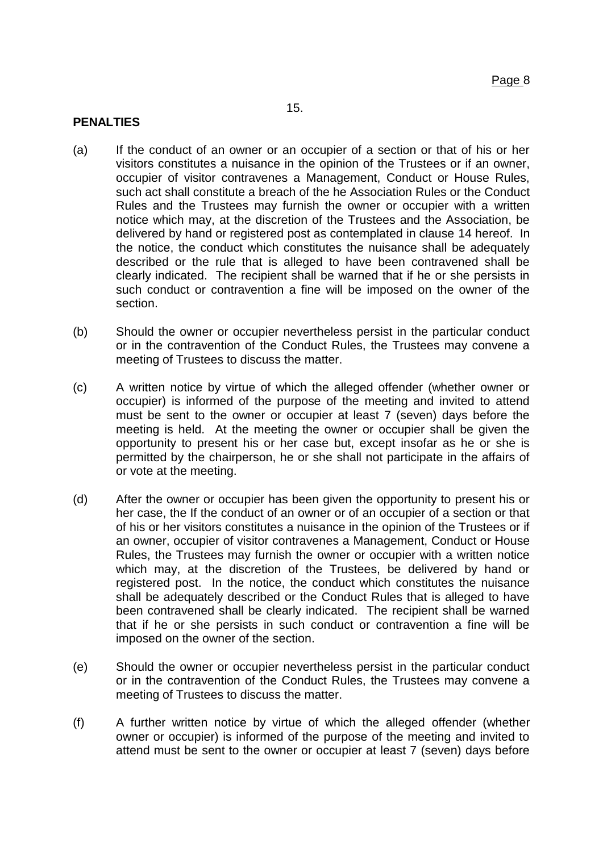# 15.

# **PENALTIES**

- (a) If the conduct of an owner or an occupier of a section or that of his or her visitors constitutes a nuisance in the opinion of the Trustees or if an owner, occupier of visitor contravenes a Management, Conduct or House Rules, such act shall constitute a breach of the he Association Rules or the Conduct Rules and the Trustees may furnish the owner or occupier with a written notice which may, at the discretion of the Trustees and the Association, be delivered by hand or registered post as contemplated in clause [14](#page-38-1) hereof. In the notice, the conduct which constitutes the nuisance shall be adequately described or the rule that is alleged to have been contravened shall be clearly indicated. The recipient shall be warned that if he or she persists in such conduct or contravention a fine will be imposed on the owner of the section.
- (b) Should the owner or occupier nevertheless persist in the particular conduct or in the contravention of the Conduct Rules, the Trustees may convene a meeting of Trustees to discuss the matter.
- (c) A written notice by virtue of which the alleged offender (whether owner or occupier) is informed of the purpose of the meeting and invited to attend must be sent to the owner or occupier at least 7 (seven) days before the meeting is held. At the meeting the owner or occupier shall be given the opportunity to present his or her case but, except insofar as he or she is permitted by the chairperson, he or she shall not participate in the affairs of or vote at the meeting.
- (d) After the owner or occupier has been given the opportunity to present his or her case, the If the conduct of an owner or of an occupier of a section or that of his or her visitors constitutes a nuisance in the opinion of the Trustees or if an owner, occupier of visitor contravenes a Management, Conduct or House Rules, the Trustees may furnish the owner or occupier with a written notice which may, at the discretion of the Trustees, be delivered by hand or registered post. In the notice, the conduct which constitutes the nuisance shall be adequately described or the Conduct Rules that is alleged to have been contravened shall be clearly indicated. The recipient shall be warned that if he or she persists in such conduct or contravention a fine will be imposed on the owner of the section.
- (e) Should the owner or occupier nevertheless persist in the particular conduct or in the contravention of the Conduct Rules, the Trustees may convene a meeting of Trustees to discuss the matter.
- (f) A further written notice by virtue of which the alleged offender (whether owner or occupier) is informed of the purpose of the meeting and invited to attend must be sent to the owner or occupier at least 7 (seven) days before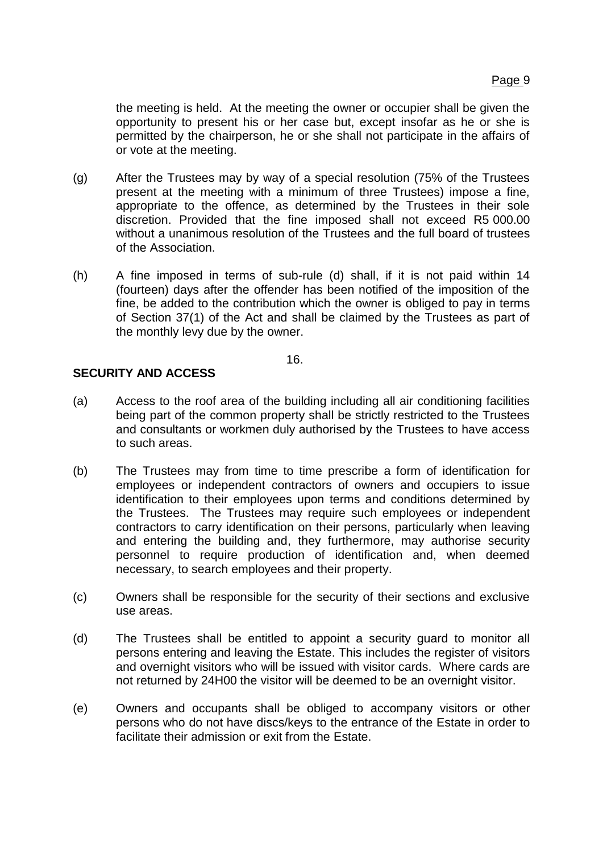<span id="page-40-1"></span>the meeting is held. At the meeting the owner or occupier shall be given the opportunity to present his or her case but, except insofar as he or she is permitted by the chairperson, he or she shall not participate in the affairs of or vote at the meeting.

- (g) After the Trustees may by way of a special resolution (75% of the Trustees present at the meeting with a minimum of three Trustees) impose a fine, appropriate to the offence, as determined by the Trustees in their sole discretion. Provided that the fine imposed shall not exceed R5 000.00 without a unanimous resolution of the Trustees and the full board of trustees of the Association.
- (h) A fine imposed in terms of sub-rule (d) shall, if it is not paid within 14 (fourteen) days after the offender has been notified of the imposition of the fine, be added to the contribution which the owner is obliged to pay in terms of Section 37(1) of the Act and shall be claimed by the Trustees as part of the monthly levy due by the owner.

16.

# <span id="page-40-0"></span>**SECURITY AND ACCESS**

- (a) Access to the roof area of the building including all air conditioning facilities being part of the common property shall be strictly restricted to the Trustees and consultants or workmen duly authorised by the Trustees to have access to such areas.
- (b) The Trustees may from time to time prescribe a form of identification for employees or independent contractors of owners and occupiers to issue identification to their employees upon terms and conditions determined by the Trustees. The Trustees may require such employees or independent contractors to carry identification on their persons, particularly when leaving and entering the building and, they furthermore, may authorise security personnel to require production of identification and, when deemed necessary, to search employees and their property.
- (c) Owners shall be responsible for the security of their sections and exclusive use areas.
- (d) The Trustees shall be entitled to appoint a security guard to monitor all persons entering and leaving the Estate. This includes the register of visitors and overnight visitors who will be issued with visitor cards. Where cards are not returned by 24H00 the visitor will be deemed to be an overnight visitor.
- (e) Owners and occupants shall be obliged to accompany visitors or other persons who do not have discs/keys to the entrance of the Estate in order to facilitate their admission or exit from the Estate.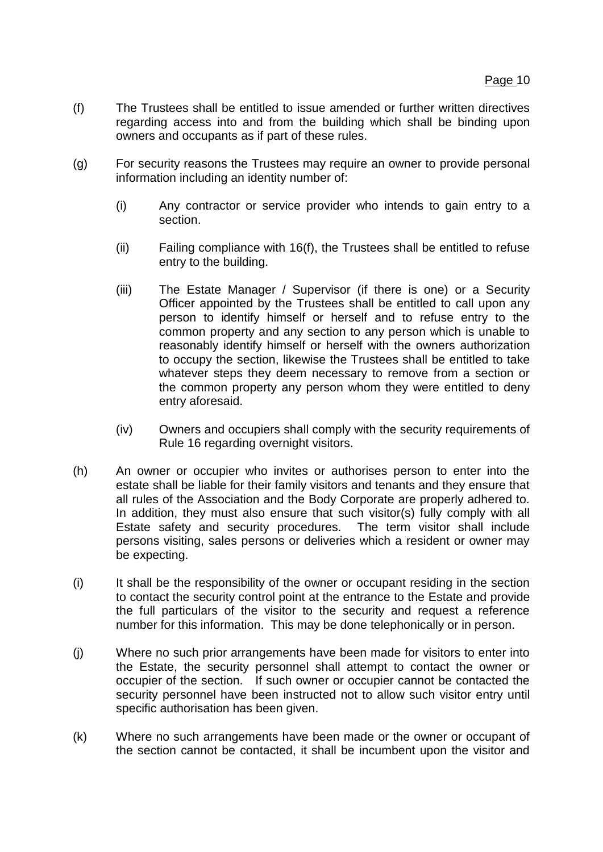- (f) The Trustees shall be entitled to issue amended or further written directives regarding access into and from the building which shall be binding upon owners and occupants as if part of these rules.
- (g) For security reasons the Trustees may require an owner to provide personal information including an identity number of:
	- (i) Any contractor or service provider who intends to gain entry to a section.
	- (ii) Failing compliance with [16](#page-40-0)[\(f\),](#page-40-1) the Trustees shall be entitled to refuse entry to the building.
	- (iii) The Estate Manager / Supervisor (if there is one) or a Security Officer appointed by the Trustees shall be entitled to call upon any person to identify himself or herself and to refuse entry to the common property and any section to any person which is unable to reasonably identify himself or herself with the owners authorization to occupy the section, likewise the Trustees shall be entitled to take whatever steps they deem necessary to remove from a section or the common property any person whom they were entitled to deny entry aforesaid.
	- (iv) Owners and occupiers shall comply with the security requirements of Rule [16](#page-40-0) regarding overnight visitors.
- (h) An owner or occupier who invites or authorises person to enter into the estate shall be liable for their family visitors and tenants and they ensure that all rules of the Association and the Body Corporate are properly adhered to. In addition, they must also ensure that such visitor(s) fully comply with all Estate safety and security procedures. The term visitor shall include persons visiting, sales persons or deliveries which a resident or owner may be expecting.
- (i) It shall be the responsibility of the owner or occupant residing in the section to contact the security control point at the entrance to the Estate and provide the full particulars of the visitor to the security and request a reference number for this information. This may be done telephonically or in person.
- (j) Where no such prior arrangements have been made for visitors to enter into the Estate, the security personnel shall attempt to contact the owner or occupier of the section. If such owner or occupier cannot be contacted the security personnel have been instructed not to allow such visitor entry until specific authorisation has been given.
- (k) Where no such arrangements have been made or the owner or occupant of the section cannot be contacted, it shall be incumbent upon the visitor and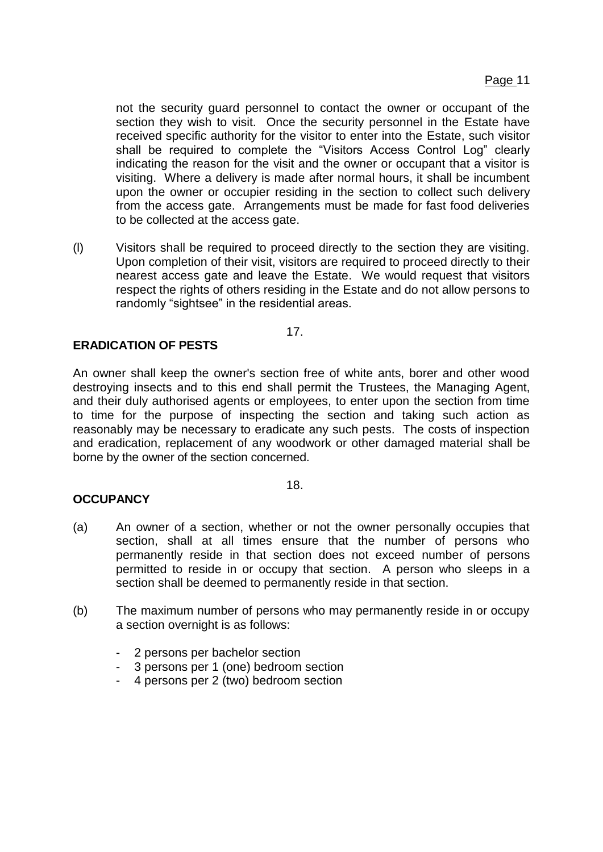not the security guard personnel to contact the owner or occupant of the section they wish to visit. Once the security personnel in the Estate have received specific authority for the visitor to enter into the Estate, such visitor shall be required to complete the "Visitors Access Control Log" clearly indicating the reason for the visit and the owner or occupant that a visitor is visiting. Where a delivery is made after normal hours, it shall be incumbent upon the owner or occupier residing in the section to collect such delivery from the access gate. Arrangements must be made for fast food deliveries to be collected at the access gate.

(l) Visitors shall be required to proceed directly to the section they are visiting. Upon completion of their visit, visitors are required to proceed directly to their nearest access gate and leave the Estate. We would request that visitors respect the rights of others residing in the Estate and do not allow persons to randomly "sightsee" in the residential areas.

17.

# **ERADICATION OF PESTS**

An owner shall keep the owner's section free of white ants, borer and other wood destroying insects and to this end shall permit the Trustees, the Managing Agent, and their duly authorised agents or employees, to enter upon the section from time to time for the purpose of inspecting the section and taking such action as reasonably may be necessary to eradicate any such pests. The costs of inspection and eradication, replacement of any woodwork or other damaged material shall be borne by the owner of the section concerned.

#### 18.

# **OCCUPANCY**

- (a) An owner of a section, whether or not the owner personally occupies that section, shall at all times ensure that the number of persons who permanently reside in that section does not exceed number of persons permitted to reside in or occupy that section. A person who sleeps in a section shall be deemed to permanently reside in that section.
- (b) The maximum number of persons who may permanently reside in or occupy a section overnight is as follows:
	- 2 persons per bachelor section
	- 3 persons per 1 (one) bedroom section
	- 4 persons per 2 (two) bedroom section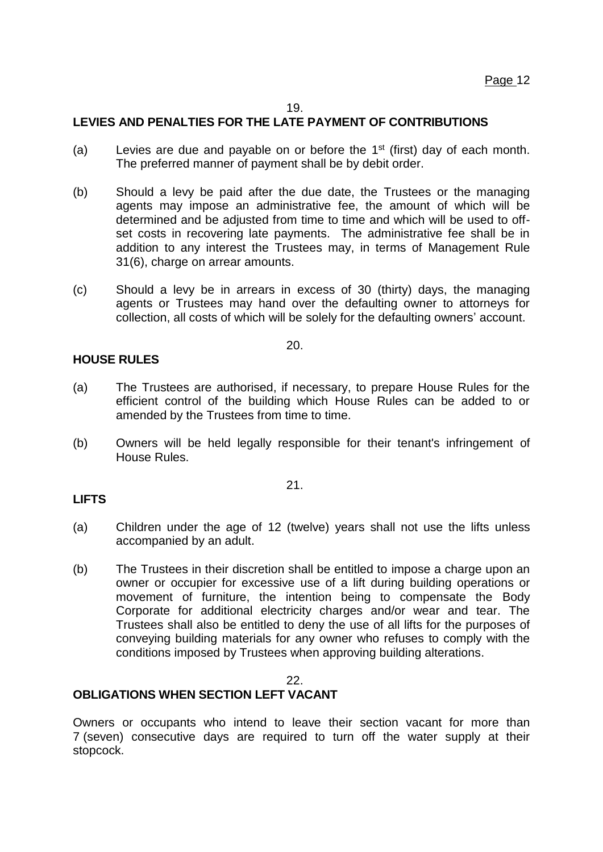# **LEVIES AND PENALTIES FOR THE LATE PAYMENT OF CONTRIBUTIONS**

- (a) Levies are due and payable on or before the  $1<sup>st</sup>$  (first) day of each month. The preferred manner of payment shall be by debit order.
- (b) Should a levy be paid after the due date, the Trustees or the managing agents may impose an administrative fee, the amount of which will be determined and be adjusted from time to time and which will be used to offset costs in recovering late payments. The administrative fee shall be in addition to any interest the Trustees may, in terms of Management Rule 31(6), charge on arrear amounts.
- (c) Should a levy be in arrears in excess of 30 (thirty) days, the managing agents or Trustees may hand over the defaulting owner to attorneys for collection, all costs of which will be solely for the defaulting owners' account.

20.

# **HOUSE RULES**

- (a) The Trustees are authorised, if necessary, to prepare House Rules for the efficient control of the building which House Rules can be added to or amended by the Trustees from time to time.
- (b) Owners will be held legally responsible for their tenant's infringement of House Rules.

21.

#### **LIFTS**

- (a) Children under the age of 12 (twelve) years shall not use the lifts unless accompanied by an adult.
- (b) The Trustees in their discretion shall be entitled to impose a charge upon an owner or occupier for excessive use of a lift during building operations or movement of furniture, the intention being to compensate the Body Corporate for additional electricity charges and/or wear and tear. The Trustees shall also be entitled to deny the use of all lifts for the purposes of conveying building materials for any owner who refuses to comply with the conditions imposed by Trustees when approving building alterations.

#### 22.

# **OBLIGATIONS WHEN SECTION LEFT VACANT**

Owners or occupants who intend to leave their section vacant for more than 7 (seven) consecutive days are required to turn off the water supply at their stopcock.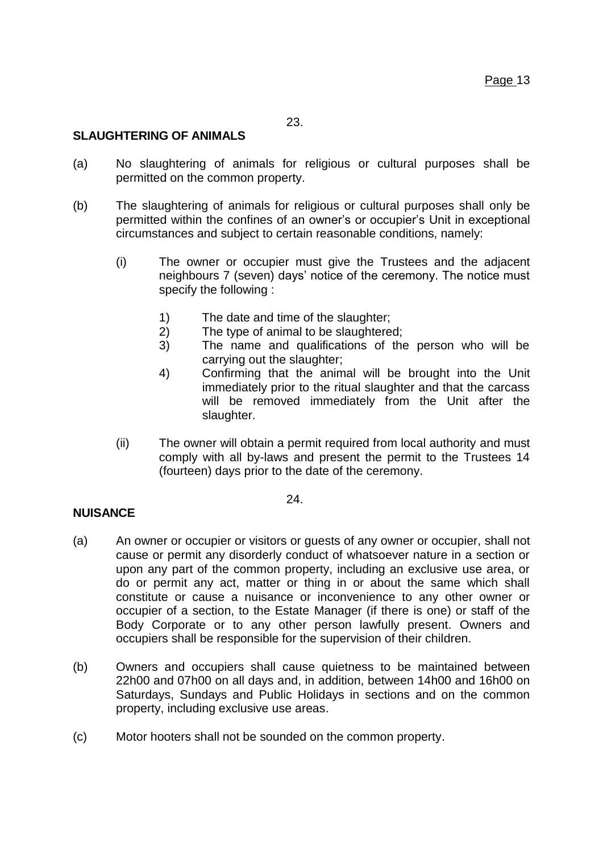# **SLAUGHTERING OF ANIMALS**

- (a) No slaughtering of animals for religious or cultural purposes shall be permitted on the common property.
- (b) The slaughtering of animals for religious or cultural purposes shall only be permitted within the confines of an owner's or occupier's Unit in exceptional circumstances and subject to certain reasonable conditions, namely:
	- (i) The owner or occupier must give the Trustees and the adjacent neighbours 7 (seven) days' notice of the ceremony. The notice must specify the following :
		- 1) The date and time of the slaughter;
		- 2) The type of animal to be slaughtered;
		- 3) The name and qualifications of the person who will be carrying out the slaughter;
		- 4) Confirming that the animal will be brought into the Unit immediately prior to the ritual slaughter and that the carcass will be removed immediately from the Unit after the slaughter.
	- (ii) The owner will obtain a permit required from local authority and must comply with all by-laws and present the permit to the Trustees 14 (fourteen) days prior to the date of the ceremony.

24.

# **NUISANCE**

- (a) An owner or occupier or visitors or guests of any owner or occupier, shall not cause or permit any disorderly conduct of whatsoever nature in a section or upon any part of the common property, including an exclusive use area, or do or permit any act, matter or thing in or about the same which shall constitute or cause a nuisance or inconvenience to any other owner or occupier of a section, to the Estate Manager (if there is one) or staff of the Body Corporate or to any other person lawfully present. Owners and occupiers shall be responsible for the supervision of their children.
- (b) Owners and occupiers shall cause quietness to be maintained between 22h00 and 07h00 on all days and, in addition, between 14h00 and 16h00 on Saturdays, Sundays and Public Holidays in sections and on the common property, including exclusive use areas.
- (c) Motor hooters shall not be sounded on the common property.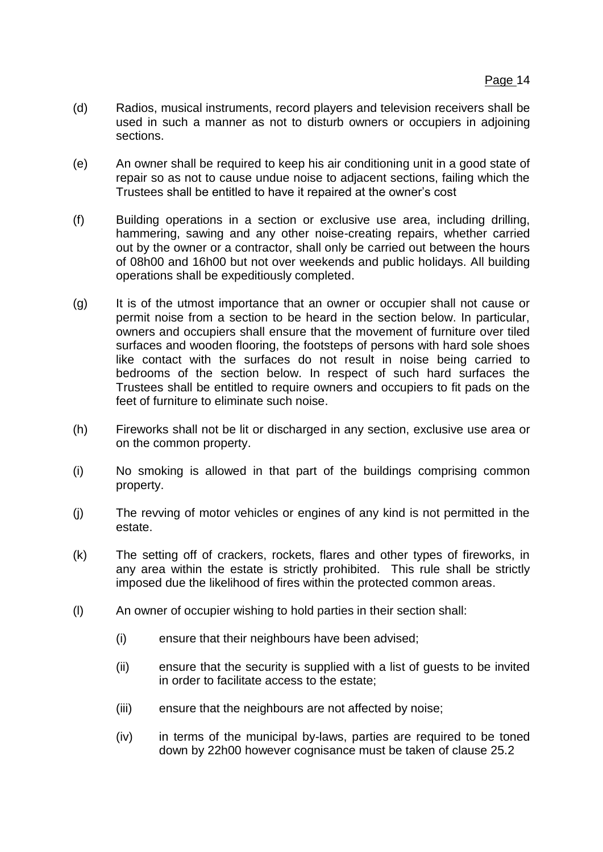- (d) Radios, musical instruments, record players and television receivers shall be used in such a manner as not to disturb owners or occupiers in adjoining sections.
- (e) An owner shall be required to keep his air conditioning unit in a good state of repair so as not to cause undue noise to adjacent sections, failing which the Trustees shall be entitled to have it repaired at the owner's cost
- (f) Building operations in a section or exclusive use area, including drilling, hammering, sawing and any other noise-creating repairs, whether carried out by the owner or a contractor, shall only be carried out between the hours of 08h00 and 16h00 but not over weekends and public holidays. All building operations shall be expeditiously completed.
- (g) It is of the utmost importance that an owner or occupier shall not cause or permit noise from a section to be heard in the section below. In particular, owners and occupiers shall ensure that the movement of furniture over tiled surfaces and wooden flooring, the footsteps of persons with hard sole shoes like contact with the surfaces do not result in noise being carried to bedrooms of the section below. In respect of such hard surfaces the Trustees shall be entitled to require owners and occupiers to fit pads on the feet of furniture to eliminate such noise.
- (h) Fireworks shall not be lit or discharged in any section, exclusive use area or on the common property.
- (i) No smoking is allowed in that part of the buildings comprising common property.
- (j) The revving of motor vehicles or engines of any kind is not permitted in the estate.
- (k) The setting off of crackers, rockets, flares and other types of fireworks, in any area within the estate is strictly prohibited. This rule shall be strictly imposed due the likelihood of fires within the protected common areas.
- (l) An owner of occupier wishing to hold parties in their section shall:
	- (i) ensure that their neighbours have been advised;
	- (ii) ensure that the security is supplied with a list of guests to be invited in order to facilitate access to the estate;
	- (iii) ensure that the neighbours are not affected by noise;
	- (iv) in terms of the municipal by-laws, parties are required to be toned down by 22h00 however cognisance must be taken of clause 25.2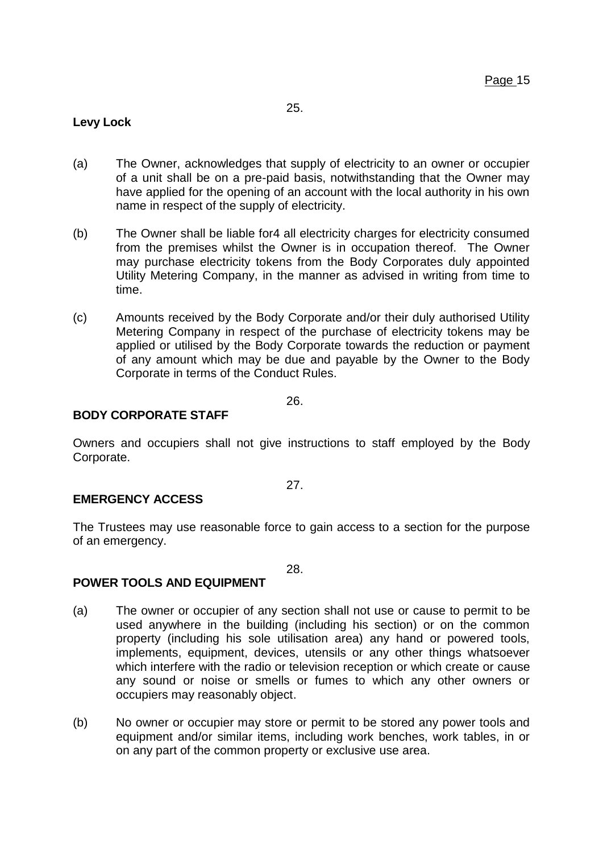# **Levy Lock**

- (a) The Owner, acknowledges that supply of electricity to an owner or occupier of a unit shall be on a pre-paid basis, notwithstanding that the Owner may have applied for the opening of an account with the local authority in his own name in respect of the supply of electricity.
- (b) The Owner shall be liable for4 all electricity charges for electricity consumed from the premises whilst the Owner is in occupation thereof. The Owner may purchase electricity tokens from the Body Corporates duly appointed Utility Metering Company, in the manner as advised in writing from time to time.
- (c) Amounts received by the Body Corporate and/or their duly authorised Utility Metering Company in respect of the purchase of electricity tokens may be applied or utilised by the Body Corporate towards the reduction or payment of any amount which may be due and payable by the Owner to the Body Corporate in terms of the Conduct Rules.

26.

# **BODY CORPORATE STAFF**

Owners and occupiers shall not give instructions to staff employed by the Body Corporate.

#### 27.

#### **EMERGENCY ACCESS**

The Trustees may use reasonable force to gain access to a section for the purpose of an emergency.

28.

# **POWER TOOLS AND EQUIPMENT**

- (a) The owner or occupier of any section shall not use or cause to permit to be used anywhere in the building (including his section) or on the common property (including his sole utilisation area) any hand or powered tools, implements, equipment, devices, utensils or any other things whatsoever which interfere with the radio or television reception or which create or cause any sound or noise or smells or fumes to which any other owners or occupiers may reasonably object.
- (b) No owner or occupier may store or permit to be stored any power tools and equipment and/or similar items, including work benches, work tables, in or on any part of the common property or exclusive use area.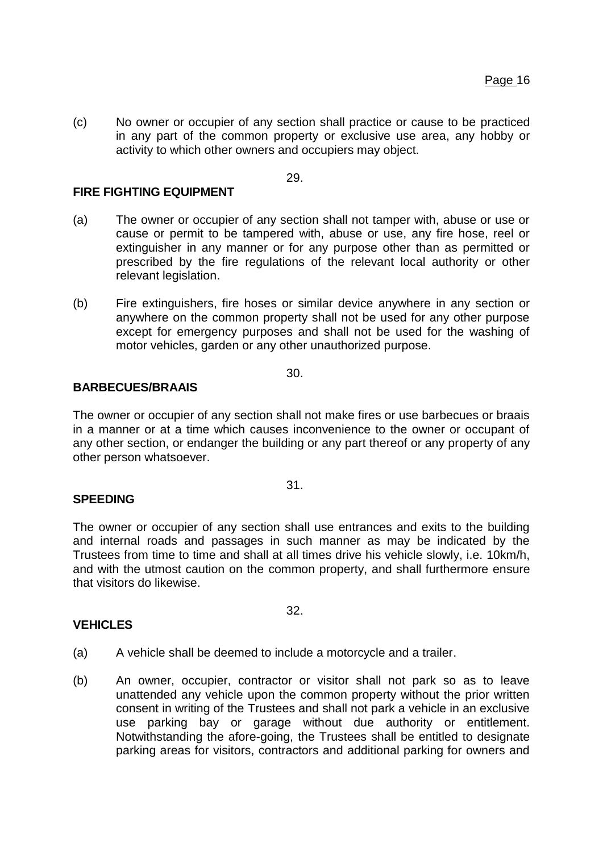(c) No owner or occupier of any section shall practice or cause to be practiced in any part of the common property or exclusive use area, any hobby or activity to which other owners and occupiers may object.

29.

#### **FIRE FIGHTING EQUIPMENT**

- (a) The owner or occupier of any section shall not tamper with, abuse or use or cause or permit to be tampered with, abuse or use, any fire hose, reel or extinguisher in any manner or for any purpose other than as permitted or prescribed by the fire regulations of the relevant local authority or other relevant legislation.
- (b) Fire extinguishers, fire hoses or similar device anywhere in any section or anywhere on the common property shall not be used for any other purpose except for emergency purposes and shall not be used for the washing of motor vehicles, garden or any other unauthorized purpose.

# 30.

#### **BARBECUES/BRAAIS**

The owner or occupier of any section shall not make fires or use barbecues or braais in a manner or at a time which causes inconvenience to the owner or occupant of any other section, or endanger the building or any part thereof or any property of any other person whatsoever.

31.

#### **SPEEDING**

The owner or occupier of any section shall use entrances and exits to the building and internal roads and passages in such manner as may be indicated by the Trustees from time to time and shall at all times drive his vehicle slowly, i.e. 10km/h, and with the utmost caution on the common property, and shall furthermore ensure that visitors do likewise.

#### **VEHICLES**

32.

- (a) A vehicle shall be deemed to include a motorcycle and a trailer.
- (b) An owner, occupier, contractor or visitor shall not park so as to leave unattended any vehicle upon the common property without the prior written consent in writing of the Trustees and shall not park a vehicle in an exclusive use parking bay or garage without due authority or entitlement. Notwithstanding the afore-going, the Trustees shall be entitled to designate parking areas for visitors, contractors and additional parking for owners and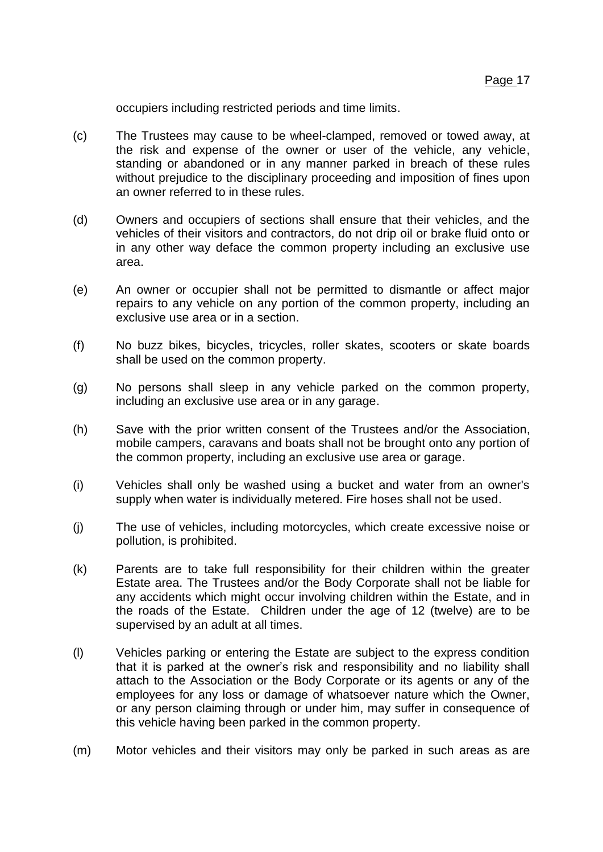occupiers including restricted periods and time limits.

- (c) The Trustees may cause to be wheel-clamped, removed or towed away, at the risk and expense of the owner or user of the vehicle, any vehicle, standing or abandoned or in any manner parked in breach of these rules without prejudice to the disciplinary proceeding and imposition of fines upon an owner referred to in these rules.
- (d) Owners and occupiers of sections shall ensure that their vehicles, and the vehicles of their visitors and contractors, do not drip oil or brake fluid onto or in any other way deface the common property including an exclusive use area.
- (e) An owner or occupier shall not be permitted to dismantle or affect major repairs to any vehicle on any portion of the common property, including an exclusive use area or in a section.
- (f) No buzz bikes, bicycles, tricycles, roller skates, scooters or skate boards shall be used on the common property.
- (g) No persons shall sleep in any vehicle parked on the common property, including an exclusive use area or in any garage.
- (h) Save with the prior written consent of the Trustees and/or the Association, mobile campers, caravans and boats shall not be brought onto any portion of the common property, including an exclusive use area or garage.
- (i) Vehicles shall only be washed using a bucket and water from an owner's supply when water is individually metered. Fire hoses shall not be used.
- (j) The use of vehicles, including motorcycles, which create excessive noise or pollution, is prohibited.
- (k) Parents are to take full responsibility for their children within the greater Estate area. The Trustees and/or the Body Corporate shall not be liable for any accidents which might occur involving children within the Estate, and in the roads of the Estate. Children under the age of 12 (twelve) are to be supervised by an adult at all times.
- (l) Vehicles parking or entering the Estate are subject to the express condition that it is parked at the owner's risk and responsibility and no liability shall attach to the Association or the Body Corporate or its agents or any of the employees for any loss or damage of whatsoever nature which the Owner, or any person claiming through or under him, may suffer in consequence of this vehicle having been parked in the common property.
- (m) Motor vehicles and their visitors may only be parked in such areas as are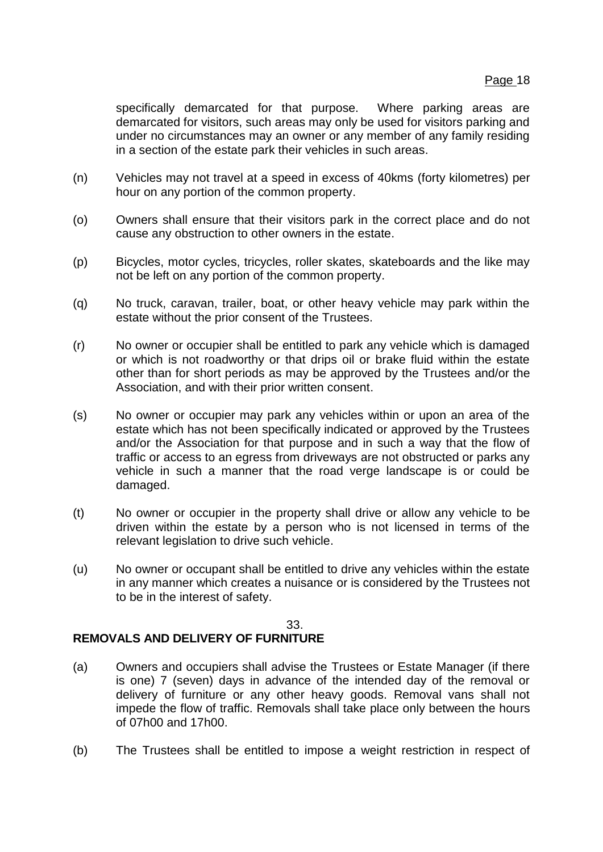specifically demarcated for that purpose. Where parking areas are demarcated for visitors, such areas may only be used for visitors parking and under no circumstances may an owner or any member of any family residing in a section of the estate park their vehicles in such areas.

- (n) Vehicles may not travel at a speed in excess of 40kms (forty kilometres) per hour on any portion of the common property.
- (o) Owners shall ensure that their visitors park in the correct place and do not cause any obstruction to other owners in the estate.
- (p) Bicycles, motor cycles, tricycles, roller skates, skateboards and the like may not be left on any portion of the common property.
- (q) No truck, caravan, trailer, boat, or other heavy vehicle may park within the estate without the prior consent of the Trustees.
- (r) No owner or occupier shall be entitled to park any vehicle which is damaged or which is not roadworthy or that drips oil or brake fluid within the estate other than for short periods as may be approved by the Trustees and/or the Association, and with their prior written consent.
- (s) No owner or occupier may park any vehicles within or upon an area of the estate which has not been specifically indicated or approved by the Trustees and/or the Association for that purpose and in such a way that the flow of traffic or access to an egress from driveways are not obstructed or parks any vehicle in such a manner that the road verge landscape is or could be damaged.
- (t) No owner or occupier in the property shall drive or allow any vehicle to be driven within the estate by a person who is not licensed in terms of the relevant legislation to drive such vehicle.
- (u) No owner or occupant shall be entitled to drive any vehicles within the estate in any manner which creates a nuisance or is considered by the Trustees not to be in the interest of safety.

#### 33.

# **REMOVALS AND DELIVERY OF FURNITURE**

- (a) Owners and occupiers shall advise the Trustees or Estate Manager (if there is one) 7 (seven) days in advance of the intended day of the removal or delivery of furniture or any other heavy goods. Removal vans shall not impede the flow of traffic. Removals shall take place only between the hours of 07h00 and 17h00.
- (b) The Trustees shall be entitled to impose a weight restriction in respect of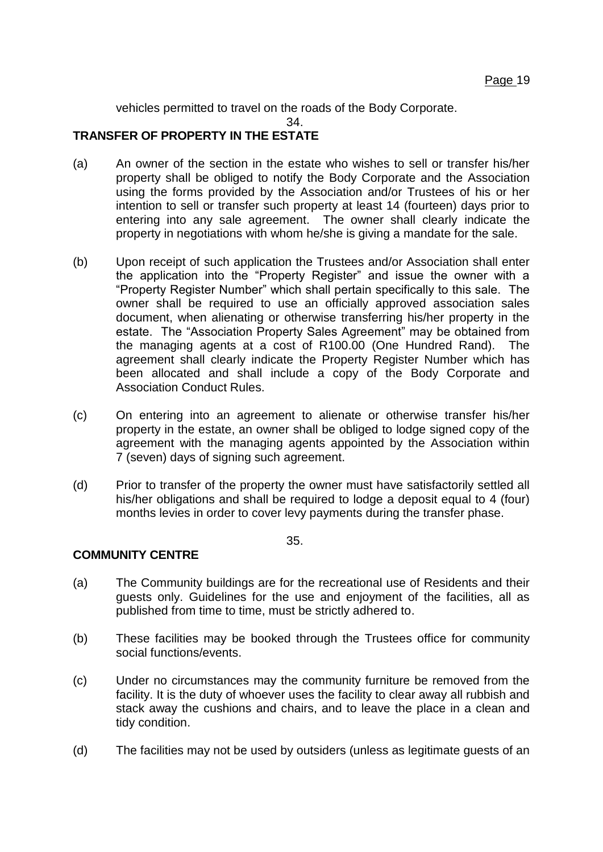vehicles permitted to travel on the roads of the Body Corporate.

 $34.$ 

# **TRANSFER OF PROPERTY IN THE ESTATE**

- (a) An owner of the section in the estate who wishes to sell or transfer his/her property shall be obliged to notify the Body Corporate and the Association using the forms provided by the Association and/or Trustees of his or her intention to sell or transfer such property at least 14 (fourteen) days prior to entering into any sale agreement. The owner shall clearly indicate the property in negotiations with whom he/she is giving a mandate for the sale.
- (b) Upon receipt of such application the Trustees and/or Association shall enter the application into the "Property Register" and issue the owner with a "Property Register Number" which shall pertain specifically to this sale. The owner shall be required to use an officially approved association sales document, when alienating or otherwise transferring his/her property in the estate. The "Association Property Sales Agreement" may be obtained from the managing agents at a cost of R100.00 (One Hundred Rand). The agreement shall clearly indicate the Property Register Number which has been allocated and shall include a copy of the Body Corporate and Association Conduct Rules.
- (c) On entering into an agreement to alienate or otherwise transfer his/her property in the estate, an owner shall be obliged to lodge signed copy of the agreement with the managing agents appointed by the Association within 7 (seven) days of signing such agreement.
- (d) Prior to transfer of the property the owner must have satisfactorily settled all his/her obligations and shall be required to lodge a deposit equal to 4 (four) months levies in order to cover levy payments during the transfer phase.

35.

# **COMMUNITY CENTRE**

- (a) The Community buildings are for the recreational use of Residents and their guests only. Guidelines for the use and enjoyment of the facilities, all as published from time to time, must be strictly adhered to.
- (b) These facilities may be booked through the Trustees office for community social functions/events.
- (c) Under no circumstances may the community furniture be removed from the facility. It is the duty of whoever uses the facility to clear away all rubbish and stack away the cushions and chairs, and to leave the place in a clean and tidy condition.
- (d) The facilities may not be used by outsiders (unless as legitimate guests of an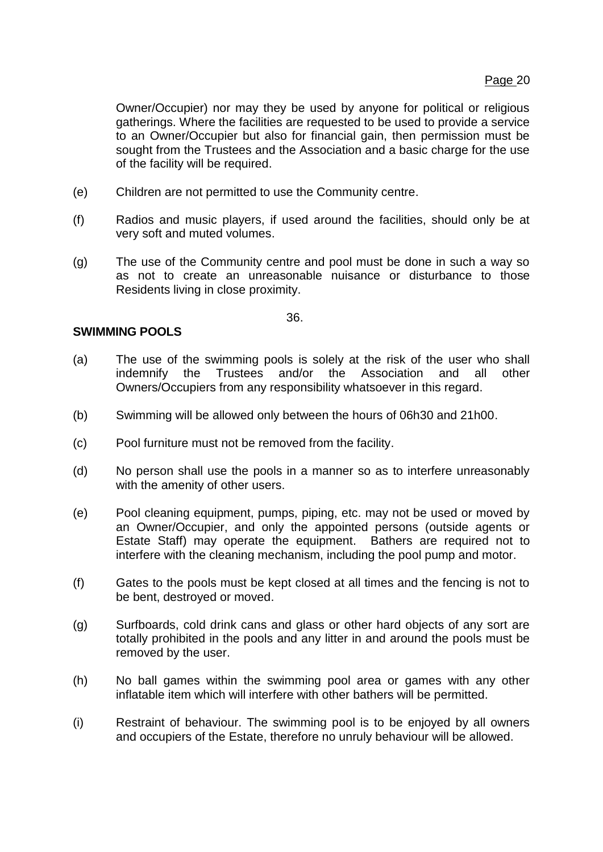Owner/Occupier) nor may they be used by anyone for political or religious gatherings. Where the facilities are requested to be used to provide a service to an Owner/Occupier but also for financial gain, then permission must be sought from the Trustees and the Association and a basic charge for the use of the facility will be required.

- (e) Children are not permitted to use the Community centre.
- (f) Radios and music players, if used around the facilities, should only be at very soft and muted volumes.
- (g) The use of the Community centre and pool must be done in such a way so as not to create an unreasonable nuisance or disturbance to those Residents living in close proximity.

36.

# **SWIMMING POOLS**

- (a) The use of the swimming pools is solely at the risk of the user who shall indemnify the Trustees and/or the Association and all other Owners/Occupiers from any responsibility whatsoever in this regard.
- (b) Swimming will be allowed only between the hours of 06h30 and 21h00.
- (c) Pool furniture must not be removed from the facility.
- (d) No person shall use the pools in a manner so as to interfere unreasonably with the amenity of other users.
- (e) Pool cleaning equipment, pumps, piping, etc. may not be used or moved by an Owner/Occupier, and only the appointed persons (outside agents or Estate Staff) may operate the equipment. Bathers are required not to interfere with the cleaning mechanism, including the pool pump and motor.
- (f) Gates to the pools must be kept closed at all times and the fencing is not to be bent, destroyed or moved.
- (g) Surfboards, cold drink cans and glass or other hard objects of any sort are totally prohibited in the pools and any litter in and around the pools must be removed by the user.
- (h) No ball games within the swimming pool area or games with any other inflatable item which will interfere with other bathers will be permitted.
- (i) Restraint of behaviour. The swimming pool is to be enjoyed by all owners and occupiers of the Estate, therefore no unruly behaviour will be allowed.